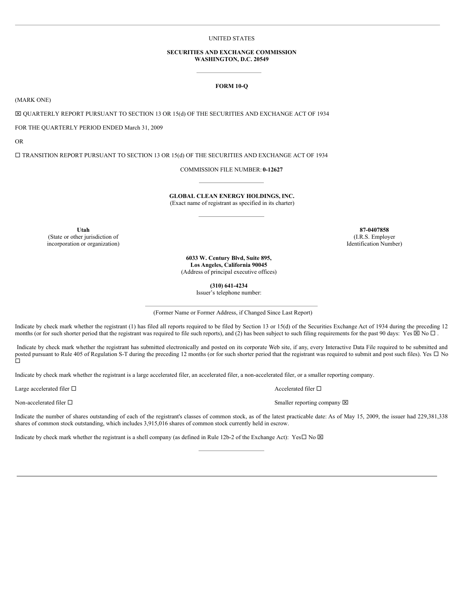# UNITED STATES

### **SECURITIES AND EXCHANGE COMMISSION WASHINGTON, D.C. 20549**

### **FORM 10-Q**

(MARK ONE)

x QUARTERLY REPORT PURSUANT TO SECTION 13 OR 15(d) OF THE SECURITIES AND EXCHANGE ACT OF 1934

FOR THE QUARTERLY PERIOD ENDED March 31, 2009

OR

¨ TRANSITION REPORT PURSUANT TO SECTION 13 OR 15(d) OF THE SECURITIES AND EXCHANGE ACT OF 1934

COMMISSION FILE NUMBER: **0-12627**

**GLOBAL CLEAN ENERGY HOLDINGS, INC.** (Exact name of registrant as specified in its charter)

(State or other jurisdiction of incorporation or organization)

**Utah 87-0407858** (I.R.S. Employer Identification Number)

> **6033 W. Century Blvd, Suite 895, Los Angeles, California 90045** (Address of principal executive offices)

> > **(310) 641-4234**

Issuer's telephone number:

(Former Name or Former Address, if Changed Since Last Report)

Indicate by check mark whether the registrant (1) has filed all reports required to be filed by Section 13 or 15(d) of the Securities Exchange Act of 1934 during the preceding 12 months (or for such shorter period that the registrant was required to file such reports), and (2) has been subject to such filing requirements for the past 90 days: Yes  $\boxtimes$  No  $\Box$ .

Indicate by check mark whether the registrant has submitted electronically and posted on its corporate Web site, if any, every Interactive Data File required to be submitted and posted pursuant to Rule 405 of Regulation S-T during the preceding 12 months (or for such shorter period that the registrant was required to submit and post such files). Yes  $\Box$  No ¨

Indicate by check mark whether the registrant is a large accelerated filer, an accelerated filer, a non-accelerated filer, or a smaller reporting company.

Large accelerated filer  $\square$ 

Non-accelerated filer □ Smaller reporting company ⊠

Indicate the number of shares outstanding of each of the registrant's classes of common stock, as of the latest practicable date: As of May 15, 2009, the issuer had 229,381,338 shares of common stock outstanding, which includes 3,915,016 shares of common stock currently held in escrow.

Indicate by check mark whether the registrant is a shell company (as defined in Rule 12b-2 of the Exchange Act): Yes $\Box$  No  $\boxtimes$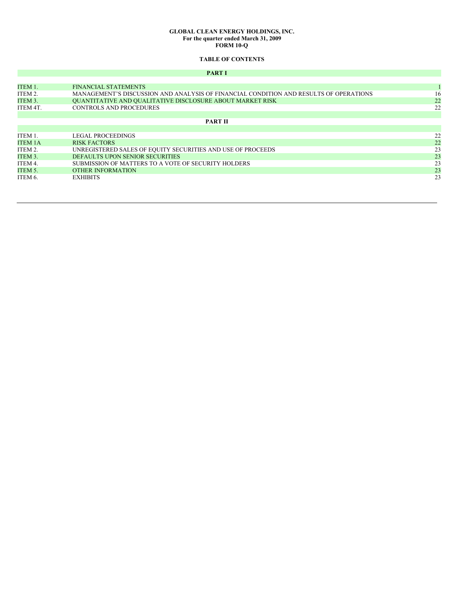### **GLOBAL CLEAN ENERGY HOLDINGS, INC. For the quarter ended March 31, 2009 FORM 10-Q**

# **TABLE OF CONTENTS**

# **PART I**

| ITEM 1.        | <b>FINANCIAL STATEMENTS</b>                                                           |    |
|----------------|---------------------------------------------------------------------------------------|----|
| ITEM 2.        | MANAGEMENT'S DISCUSSION AND ANALYSIS OF FINANCIAL CONDITION AND RESULTS OF OPERATIONS | 16 |
| ITEM 3.        | <b>QUANTITATIVE AND QUALITATIVE DISCLOSURE ABOUT MARKET RISK</b>                      | 22 |
| ITEM 4T.       | <b>CONTROLS AND PROCEDURES</b>                                                        | 22 |
|                |                                                                                       |    |
|                | <b>PART II</b>                                                                        |    |
|                |                                                                                       |    |
| ITEM 1.        | LEGAL PROCEEDINGS                                                                     | 22 |
| <b>ITEM 1A</b> | <b>RISK FACTORS</b>                                                                   | 22 |
| ITEM 2.        | UNREGISTERED SALES OF EQUITY SECURITIES AND USE OF PROCEEDS                           | 23 |
| ITEM 3.        | DEFAULTS UPON SENIOR SECURITIES                                                       | 23 |
| ITEM 4.        | SUBMISSION OF MATTERS TO A VOTE OF SECURITY HOLDERS                                   | 23 |
| ITEM 5.        | <b>OTHER INFORMATION</b>                                                              | 23 |
| ITEM 6.        | <b>EXHIBITS</b>                                                                       | 23 |
|                |                                                                                       |    |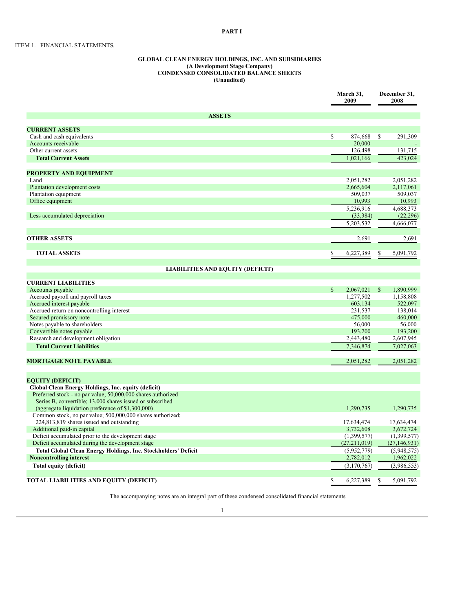# **PART I**

### **GLOBAL CLEAN ENERGY HOLDINGS, INC. AND SUBSIDIARIES (A Development Stage Company) CONDENSED CONSOLIDATED BALANCE SHEETS (Unaudited)**

|                                                                  | March 31,<br>2009 |                        | December 31,<br>2008 |                   |
|------------------------------------------------------------------|-------------------|------------------------|----------------------|-------------------|
| <b>ASSETS</b>                                                    |                   |                        |                      |                   |
|                                                                  |                   |                        |                      |                   |
| <b>CURRENT ASSETS</b><br>Cash and cash equivalents               | \$                | 874,668                | \$                   | 291,309           |
| Accounts receivable                                              |                   | 20,000                 |                      |                   |
| Other current assets                                             |                   | 126,498                |                      | 131,715           |
| <b>Total Current Assets</b>                                      |                   | 1,021,166              |                      | 423,024           |
|                                                                  |                   |                        |                      |                   |
| <b>PROPERTY AND EQUIPMENT</b>                                    |                   |                        |                      |                   |
| Land                                                             |                   | 2,051,282              |                      | 2,051,282         |
| Plantation development costs                                     |                   | 2,665,604              |                      | 2,117,061         |
| Plantation equipment                                             |                   | 509,037                |                      | 509,037           |
| Office equipment                                                 |                   | 10,993                 |                      | 10,993            |
|                                                                  |                   | 5,236,916              |                      | 4,688,373         |
| Less accumulated depreciation                                    |                   | (33, 384)              |                      | (22, 296)         |
|                                                                  |                   | 5,203,532              |                      | 4,666,077         |
|                                                                  |                   |                        |                      |                   |
| <b>OTHER ASSETS</b>                                              |                   | 2,691                  |                      | 2,691             |
| <b>TOTAL ASSETS</b>                                              | \$                | 6,227,389              | \$                   | 5,091,792         |
|                                                                  |                   |                        |                      |                   |
| <b>LIABILITIES AND EQUITY (DEFICIT)</b>                          |                   |                        |                      |                   |
| <b>CURRENT LIABILITIES</b>                                       |                   |                        |                      |                   |
| Accounts payable                                                 | $\mathbb{S}$      | 2,067,021              | $\mathbb{S}$         | 1,890,999         |
| Accrued payroll and payroll taxes                                |                   | 1,277,502              |                      | 1,158,808         |
| Accrued interest payable                                         |                   | 603,134                |                      | 522,097           |
| Accrued return on noncontrolling interest                        |                   | 231,537                |                      | 138,014           |
| Secured promissory note                                          |                   | 475,000                |                      | 460,000           |
| Notes payable to shareholders                                    |                   | 56,000<br>193,200      |                      | 56,000<br>193,200 |
| Convertible notes payable<br>Research and development obligation |                   |                        |                      | 2,607,945         |
| <b>Total Current Liabilities</b>                                 |                   | 2,443,480<br>7,346,874 |                      | 7,027,063         |
|                                                                  |                   |                        |                      |                   |
| <b>MORTGAGE NOTE PAYABLE</b>                                     |                   | 2,051,282              |                      | 2,051,282         |
| <b>EQUITY (DEFICIT)</b>                                          |                   |                        |                      |                   |
| Global Clean Energy Holdings, Inc. equity (deficit)              |                   |                        |                      |                   |
| Preferred stock - no par value; 50,000,000 shares authorized     |                   |                        |                      |                   |
| Series B, convertible; 13,000 shares issued or subscribed        |                   |                        |                      |                   |
| (aggregate liquidation preference of \$1,300,000)                |                   | 1,290,735              |                      | 1,290,735         |
| Common stock, no par value; 500,000,000 shares authorized;       |                   |                        |                      |                   |
| 224,813,819 shares issued and outstanding                        |                   | 17,634,474             |                      | 17,634,474        |
| Additional paid-in capital                                       |                   | 3,732,608              |                      | 3,672,724         |
| Deficit accumulated prior to the development stage               |                   | (1,399,577)            |                      | (1,399,577)       |
| Deficit accumulated during the development stage                 |                   | (27,211,019)           |                      | (27, 146, 931)    |
| Total Global Clean Energy Holdings, Inc. Stockholders' Deficit   |                   | (5,952,779)            |                      | (5,948,575)       |
| <b>Noncontrolling interest</b>                                   |                   | 2,782,012              |                      | 1,962,022         |
| <b>Total equity (deficit)</b>                                    |                   | (3, 170, 767)          |                      | (3,986,553)       |
| <b>TOTAL LIABILITIES AND EQUITY (DEFICIT)</b>                    | \$                | 6,227,389              | \$                   | 5,091,792         |

The accompanying notes are an integral part of these condensed consolidated financial statements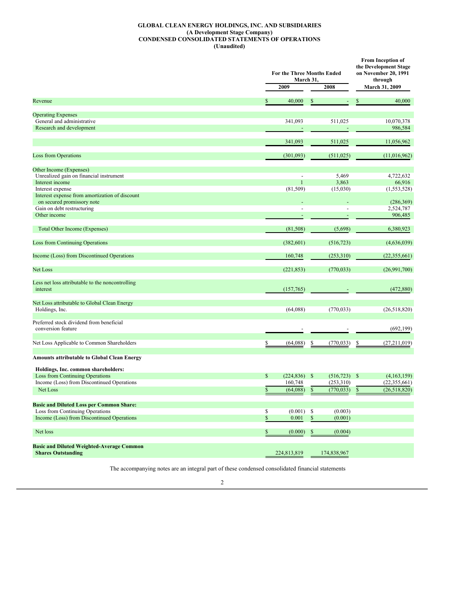# **GLOBAL CLEAN ENERGY HOLDINGS, INC. AND SUBSIDIARIES (A Development Stage Company) CONDENSED CONSOLIDATED STATEMENTS OF OPERATIONS (Unaudited)**

|                                                                    |      | For the Three Months Ended<br>March 31. | <b>From Inception of</b><br>the Development Stage<br>on November 20, 1991<br>through |             |                |                |  |
|--------------------------------------------------------------------|------|-----------------------------------------|--------------------------------------------------------------------------------------|-------------|----------------|----------------|--|
|                                                                    | 2009 |                                         |                                                                                      | 2008        | March 31, 2009 |                |  |
| Revenue                                                            |      | 40,000                                  | <b>S</b>                                                                             |             |                | 40,000         |  |
| <b>Operating Expenses</b>                                          |      |                                         |                                                                                      |             |                |                |  |
| General and administrative                                         |      | 341,093                                 |                                                                                      | 511,025     |                | 10,070,378     |  |
| Research and development                                           |      |                                         |                                                                                      |             |                | 986,584        |  |
|                                                                    |      | 341,093                                 |                                                                                      | 511,025     |                | 11,056,962     |  |
| Loss from Operations                                               |      | (301,093)                               |                                                                                      | (511, 025)  |                | (11,016,962)   |  |
|                                                                    |      |                                         |                                                                                      |             |                |                |  |
| Other Income (Expenses)                                            |      |                                         |                                                                                      |             |                |                |  |
| Unrealized gain on financial instrument                            |      | ÷.                                      |                                                                                      | 5,469       |                | 4,722,632      |  |
| Interest income                                                    |      | $\mathbf{1}$                            |                                                                                      | 3,863       |                | 66,916         |  |
| Interest expense<br>Interest expense from amortization of discount |      | (81, 509)                               |                                                                                      | (15,030)    |                | (1, 553, 528)  |  |
| on secured promissory note                                         |      |                                         |                                                                                      |             |                | (286, 369)     |  |
| Gain on debt restructuring                                         |      |                                         |                                                                                      |             |                | 2,524,787      |  |
| Other income                                                       |      |                                         |                                                                                      |             |                | 906,485        |  |
|                                                                    |      |                                         |                                                                                      |             |                |                |  |
| Total Other Income (Expenses)                                      |      | (81, 508)                               |                                                                                      | (5,698)     |                | 6,380,923      |  |
| <b>Loss from Continuing Operations</b>                             |      | (382, 601)                              |                                                                                      | (516, 723)  |                | (4,636,039)    |  |
| Income (Loss) from Discontinued Operations                         |      | 160,748                                 |                                                                                      | (253,310)   |                | (22, 355, 661) |  |
|                                                                    |      |                                         |                                                                                      |             |                |                |  |
| Net Loss                                                           |      | (221, 853)                              |                                                                                      | (770, 033)  |                | (26,991,700)   |  |
| Less net loss attributable to the noncontrolling                   |      |                                         |                                                                                      |             |                |                |  |
| interest                                                           |      | (157,765)                               |                                                                                      |             |                | (472, 880)     |  |
| Net Loss attributable to Global Clean Energy                       |      |                                         |                                                                                      |             |                |                |  |
| Holdings, Inc.                                                     |      | (64,088)                                |                                                                                      | (770, 033)  |                | (26,518,820)   |  |
| Preferred stock dividend from beneficial                           |      |                                         |                                                                                      |             |                |                |  |
| conversion feature                                                 |      |                                         |                                                                                      |             |                | (692, 199)     |  |
| Net Loss Applicable to Common Shareholders                         | \$   | (64,088)                                | \$                                                                                   | (770, 033)  | \$             | (27, 211, 019) |  |
|                                                                    |      |                                         |                                                                                      |             |                |                |  |
| <b>Amounts attributable to Global Clean Energy</b>                 |      |                                         |                                                                                      |             |                |                |  |
| Holdings, Inc. common shareholders:                                |      |                                         |                                                                                      |             |                |                |  |
| Loss from Continuing Operations                                    | \$   | (224, 836)                              | $\mathbf S$                                                                          | (516, 723)  | S              | (4,163,159)    |  |
| Income (Loss) from Discontinued Operations                         |      | 160,748                                 |                                                                                      | (253,310)   |                | (22, 355, 661) |  |
| Net Loss                                                           | \$   | (64,088)                                |                                                                                      | (770, 033)  |                | (26,518,820)   |  |
|                                                                    |      |                                         |                                                                                      |             |                |                |  |
| <b>Basic and Diluted Loss per Common Share:</b>                    |      |                                         |                                                                                      |             |                |                |  |
| Loss from Continuing Operations                                    | \$   | (0.001)                                 | \$                                                                                   | (0.003)     |                |                |  |
| Income (Loss) from Discontinued Operations                         | \$   | 0.001                                   | \$                                                                                   | (0.001)     |                |                |  |
| Net loss                                                           | Я    | (0.000)                                 | S                                                                                    | (0.004)     |                |                |  |
|                                                                    |      |                                         |                                                                                      |             |                |                |  |
| <b>Basic and Diluted Weighted-Average Common</b>                   |      |                                         |                                                                                      |             |                |                |  |
| <b>Shares Outstanding</b>                                          |      | 224,813,819                             |                                                                                      | 174,838,967 |                |                |  |

The accompanying notes are an integral part of these condensed consolidated financial statements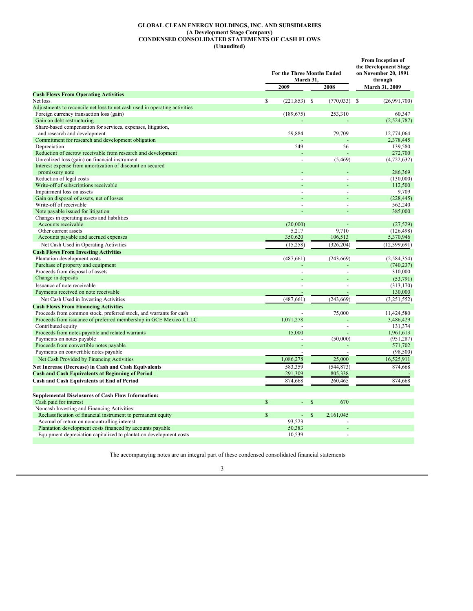### **GLOBAL CLEAN ENERGY HOLDINGS, INC. AND SUBSIDIARIES (A Development Stage Company) CONDENSED CONSOLIDATED STATEMENTS OF CASH FLOWS (Unaudited)**

| 2009<br>2008<br>March 31, 2009<br><b>Cash Flows From Operating Activities</b><br>$\mathbf S$<br>Net loss<br>$(221, 853)$ \$<br>(770, 033)<br><sup>S</sup><br>(26,991,700)<br>Adjustments to reconcile net loss to net cash used in operating activities<br>Foreign currency transaction loss (gain)<br>(189, 675)<br>253,310<br>60,347<br>Gain on debt restructuring<br>(2,524,787)<br>Share-based compensation for services, expenses, litigation,<br>and research and development<br>59,884<br>79,709<br>12,774,064<br>Commitment for research and development obligation<br>2,378,445<br>549<br>Depreciation<br>56<br>139,580<br>Reduction of escrow receivable from research and development<br>272,700<br>Unrealized loss (gain) on financial instrument<br>(5, 469)<br>(4, 722, 632)<br>Interest expense from amortization of discount on secured<br>promissory note<br>286,369<br>Reduction of legal costs<br>(130,000)<br>L.<br>Write-off of subscriptions receivable<br>112,500<br>9,709<br>Impairment loss on assets<br>$\overline{a}$<br>Gain on disposal of assets, net of losses<br>(228, 445)<br>Write-off of receivable<br>562,240<br>ä,<br>Note payable issued for litigation<br>385,000<br>Changes in operating assets and liabilities<br>Accounts receivable<br>(20,000)<br>÷,<br>(27, 529)<br>9,710<br>Other current assets<br>5,217<br>(126, 498)<br>Accounts payable and accrued expenses<br>350,620<br>106,513<br>5,370,946<br>(15, 258)<br>(326, 204)<br>(12, 399, 691)<br>Net Cash Used in Operating Activities<br><b>Cash Flows From Investing Activities</b><br>(487, 661)<br>Plantation development costs<br>(243, 669)<br>(2, 584, 354)<br>Purchase of property and equipment<br>(740, 237)<br>Proceeds from disposal of assets<br>310,000<br>Change in deposits<br>(53,791)<br>(313, 170)<br>Issuance of note receivable<br>130,000<br>Payments received on note receivable<br>÷,<br>(487, 661)<br>(243, 669)<br>(3, 251, 552)<br>Net Cash Used in Investing Activities<br><b>Cash Flows From Financing Activities</b><br>75,000<br>11,424,580<br>Proceeds from common stock, preferred stock, and warrants for cash<br>Proceeds from issuance of preferred membership in GCE Mexico I, LLC<br>1,071,278<br>3,486,429<br>Contributed equity<br>131,374<br>Proceeds from notes payable and related warrants<br>15,000<br>1,961,613<br>Payments on notes payable<br>(50,000)<br>(951, 287)<br>Proceeds from convertible notes payable<br>571,702<br>(98, 500)<br>Payments on convertible notes payable<br>1,086,278<br>25,000<br>16,525,911<br>Net Cash Provided by Financing Activities<br>583,359<br>(544, 873)<br>874,668<br>Net Increase (Decrease) in Cash and Cash Equivalents<br><b>Cash and Cash Equivalents at Beginning of Period</b><br>291,309<br>805,338<br>874,668<br><b>Cash and Cash Equivalents at End of Period</b><br>874,668<br>260,465<br><b>Supplemental Disclosures of Cash Flow Information:</b><br>$\mathbf{s}$<br>670<br>Cash paid for interest<br><sup>\$</sup><br>Noncash Investing and Financing Activities:<br>$\mathbf S$<br>$\mathbf S$<br>2,161,045<br>Reclassification of financial instrument to permanent equity<br>$\blacksquare$<br>Accrual of return on noncontrolling interest<br>93,523<br>Plantation development costs financed by accounts payable<br>50.383<br>Equipment depreciation capitalized to plantation development costs<br>10,539 |  | For the Three Months Ended<br>March 31. |  | <b>From Inception of</b><br>the Development Stage<br>on November 20, 1991<br>through |
|--------------------------------------------------------------------------------------------------------------------------------------------------------------------------------------------------------------------------------------------------------------------------------------------------------------------------------------------------------------------------------------------------------------------------------------------------------------------------------------------------------------------------------------------------------------------------------------------------------------------------------------------------------------------------------------------------------------------------------------------------------------------------------------------------------------------------------------------------------------------------------------------------------------------------------------------------------------------------------------------------------------------------------------------------------------------------------------------------------------------------------------------------------------------------------------------------------------------------------------------------------------------------------------------------------------------------------------------------------------------------------------------------------------------------------------------------------------------------------------------------------------------------------------------------------------------------------------------------------------------------------------------------------------------------------------------------------------------------------------------------------------------------------------------------------------------------------------------------------------------------------------------------------------------------------------------------------------------------------------------------------------------------------------------------------------------------------------------------------------------------------------------------------------------------------------------------------------------------------------------------------------------------------------------------------------------------------------------------------------------------------------------------------------------------------------------------------------------------------------------------------------------------------------------------------------------------------------------------------------------------------------------------------------------------------------------------------------------------------------------------------------------------------------------------------------------------------------------------------------------------------------------------------------------------------------------------------------------------------------------------------------------------------------------------------------------------------------------------------------------------------------------------------------------------------------------------------------------------------------------------------------------------------------------------------------------------------------------------------------------------------------------------------------------|--|-----------------------------------------|--|--------------------------------------------------------------------------------------|
|                                                                                                                                                                                                                                                                                                                                                                                                                                                                                                                                                                                                                                                                                                                                                                                                                                                                                                                                                                                                                                                                                                                                                                                                                                                                                                                                                                                                                                                                                                                                                                                                                                                                                                                                                                                                                                                                                                                                                                                                                                                                                                                                                                                                                                                                                                                                                                                                                                                                                                                                                                                                                                                                                                                                                                                                                                                                                                                                                                                                                                                                                                                                                                                                                                                                                                                                                                                                                    |  |                                         |  |                                                                                      |
|                                                                                                                                                                                                                                                                                                                                                                                                                                                                                                                                                                                                                                                                                                                                                                                                                                                                                                                                                                                                                                                                                                                                                                                                                                                                                                                                                                                                                                                                                                                                                                                                                                                                                                                                                                                                                                                                                                                                                                                                                                                                                                                                                                                                                                                                                                                                                                                                                                                                                                                                                                                                                                                                                                                                                                                                                                                                                                                                                                                                                                                                                                                                                                                                                                                                                                                                                                                                                    |  |                                         |  |                                                                                      |
|                                                                                                                                                                                                                                                                                                                                                                                                                                                                                                                                                                                                                                                                                                                                                                                                                                                                                                                                                                                                                                                                                                                                                                                                                                                                                                                                                                                                                                                                                                                                                                                                                                                                                                                                                                                                                                                                                                                                                                                                                                                                                                                                                                                                                                                                                                                                                                                                                                                                                                                                                                                                                                                                                                                                                                                                                                                                                                                                                                                                                                                                                                                                                                                                                                                                                                                                                                                                                    |  |                                         |  |                                                                                      |
|                                                                                                                                                                                                                                                                                                                                                                                                                                                                                                                                                                                                                                                                                                                                                                                                                                                                                                                                                                                                                                                                                                                                                                                                                                                                                                                                                                                                                                                                                                                                                                                                                                                                                                                                                                                                                                                                                                                                                                                                                                                                                                                                                                                                                                                                                                                                                                                                                                                                                                                                                                                                                                                                                                                                                                                                                                                                                                                                                                                                                                                                                                                                                                                                                                                                                                                                                                                                                    |  |                                         |  |                                                                                      |
|                                                                                                                                                                                                                                                                                                                                                                                                                                                                                                                                                                                                                                                                                                                                                                                                                                                                                                                                                                                                                                                                                                                                                                                                                                                                                                                                                                                                                                                                                                                                                                                                                                                                                                                                                                                                                                                                                                                                                                                                                                                                                                                                                                                                                                                                                                                                                                                                                                                                                                                                                                                                                                                                                                                                                                                                                                                                                                                                                                                                                                                                                                                                                                                                                                                                                                                                                                                                                    |  |                                         |  |                                                                                      |
|                                                                                                                                                                                                                                                                                                                                                                                                                                                                                                                                                                                                                                                                                                                                                                                                                                                                                                                                                                                                                                                                                                                                                                                                                                                                                                                                                                                                                                                                                                                                                                                                                                                                                                                                                                                                                                                                                                                                                                                                                                                                                                                                                                                                                                                                                                                                                                                                                                                                                                                                                                                                                                                                                                                                                                                                                                                                                                                                                                                                                                                                                                                                                                                                                                                                                                                                                                                                                    |  |                                         |  |                                                                                      |
|                                                                                                                                                                                                                                                                                                                                                                                                                                                                                                                                                                                                                                                                                                                                                                                                                                                                                                                                                                                                                                                                                                                                                                                                                                                                                                                                                                                                                                                                                                                                                                                                                                                                                                                                                                                                                                                                                                                                                                                                                                                                                                                                                                                                                                                                                                                                                                                                                                                                                                                                                                                                                                                                                                                                                                                                                                                                                                                                                                                                                                                                                                                                                                                                                                                                                                                                                                                                                    |  |                                         |  |                                                                                      |
|                                                                                                                                                                                                                                                                                                                                                                                                                                                                                                                                                                                                                                                                                                                                                                                                                                                                                                                                                                                                                                                                                                                                                                                                                                                                                                                                                                                                                                                                                                                                                                                                                                                                                                                                                                                                                                                                                                                                                                                                                                                                                                                                                                                                                                                                                                                                                                                                                                                                                                                                                                                                                                                                                                                                                                                                                                                                                                                                                                                                                                                                                                                                                                                                                                                                                                                                                                                                                    |  |                                         |  |                                                                                      |
|                                                                                                                                                                                                                                                                                                                                                                                                                                                                                                                                                                                                                                                                                                                                                                                                                                                                                                                                                                                                                                                                                                                                                                                                                                                                                                                                                                                                                                                                                                                                                                                                                                                                                                                                                                                                                                                                                                                                                                                                                                                                                                                                                                                                                                                                                                                                                                                                                                                                                                                                                                                                                                                                                                                                                                                                                                                                                                                                                                                                                                                                                                                                                                                                                                                                                                                                                                                                                    |  |                                         |  |                                                                                      |
|                                                                                                                                                                                                                                                                                                                                                                                                                                                                                                                                                                                                                                                                                                                                                                                                                                                                                                                                                                                                                                                                                                                                                                                                                                                                                                                                                                                                                                                                                                                                                                                                                                                                                                                                                                                                                                                                                                                                                                                                                                                                                                                                                                                                                                                                                                                                                                                                                                                                                                                                                                                                                                                                                                                                                                                                                                                                                                                                                                                                                                                                                                                                                                                                                                                                                                                                                                                                                    |  |                                         |  |                                                                                      |
|                                                                                                                                                                                                                                                                                                                                                                                                                                                                                                                                                                                                                                                                                                                                                                                                                                                                                                                                                                                                                                                                                                                                                                                                                                                                                                                                                                                                                                                                                                                                                                                                                                                                                                                                                                                                                                                                                                                                                                                                                                                                                                                                                                                                                                                                                                                                                                                                                                                                                                                                                                                                                                                                                                                                                                                                                                                                                                                                                                                                                                                                                                                                                                                                                                                                                                                                                                                                                    |  |                                         |  |                                                                                      |
|                                                                                                                                                                                                                                                                                                                                                                                                                                                                                                                                                                                                                                                                                                                                                                                                                                                                                                                                                                                                                                                                                                                                                                                                                                                                                                                                                                                                                                                                                                                                                                                                                                                                                                                                                                                                                                                                                                                                                                                                                                                                                                                                                                                                                                                                                                                                                                                                                                                                                                                                                                                                                                                                                                                                                                                                                                                                                                                                                                                                                                                                                                                                                                                                                                                                                                                                                                                                                    |  |                                         |  |                                                                                      |
|                                                                                                                                                                                                                                                                                                                                                                                                                                                                                                                                                                                                                                                                                                                                                                                                                                                                                                                                                                                                                                                                                                                                                                                                                                                                                                                                                                                                                                                                                                                                                                                                                                                                                                                                                                                                                                                                                                                                                                                                                                                                                                                                                                                                                                                                                                                                                                                                                                                                                                                                                                                                                                                                                                                                                                                                                                                                                                                                                                                                                                                                                                                                                                                                                                                                                                                                                                                                                    |  |                                         |  |                                                                                      |
|                                                                                                                                                                                                                                                                                                                                                                                                                                                                                                                                                                                                                                                                                                                                                                                                                                                                                                                                                                                                                                                                                                                                                                                                                                                                                                                                                                                                                                                                                                                                                                                                                                                                                                                                                                                                                                                                                                                                                                                                                                                                                                                                                                                                                                                                                                                                                                                                                                                                                                                                                                                                                                                                                                                                                                                                                                                                                                                                                                                                                                                                                                                                                                                                                                                                                                                                                                                                                    |  |                                         |  |                                                                                      |
|                                                                                                                                                                                                                                                                                                                                                                                                                                                                                                                                                                                                                                                                                                                                                                                                                                                                                                                                                                                                                                                                                                                                                                                                                                                                                                                                                                                                                                                                                                                                                                                                                                                                                                                                                                                                                                                                                                                                                                                                                                                                                                                                                                                                                                                                                                                                                                                                                                                                                                                                                                                                                                                                                                                                                                                                                                                                                                                                                                                                                                                                                                                                                                                                                                                                                                                                                                                                                    |  |                                         |  |                                                                                      |
|                                                                                                                                                                                                                                                                                                                                                                                                                                                                                                                                                                                                                                                                                                                                                                                                                                                                                                                                                                                                                                                                                                                                                                                                                                                                                                                                                                                                                                                                                                                                                                                                                                                                                                                                                                                                                                                                                                                                                                                                                                                                                                                                                                                                                                                                                                                                                                                                                                                                                                                                                                                                                                                                                                                                                                                                                                                                                                                                                                                                                                                                                                                                                                                                                                                                                                                                                                                                                    |  |                                         |  |                                                                                      |
|                                                                                                                                                                                                                                                                                                                                                                                                                                                                                                                                                                                                                                                                                                                                                                                                                                                                                                                                                                                                                                                                                                                                                                                                                                                                                                                                                                                                                                                                                                                                                                                                                                                                                                                                                                                                                                                                                                                                                                                                                                                                                                                                                                                                                                                                                                                                                                                                                                                                                                                                                                                                                                                                                                                                                                                                                                                                                                                                                                                                                                                                                                                                                                                                                                                                                                                                                                                                                    |  |                                         |  |                                                                                      |
|                                                                                                                                                                                                                                                                                                                                                                                                                                                                                                                                                                                                                                                                                                                                                                                                                                                                                                                                                                                                                                                                                                                                                                                                                                                                                                                                                                                                                                                                                                                                                                                                                                                                                                                                                                                                                                                                                                                                                                                                                                                                                                                                                                                                                                                                                                                                                                                                                                                                                                                                                                                                                                                                                                                                                                                                                                                                                                                                                                                                                                                                                                                                                                                                                                                                                                                                                                                                                    |  |                                         |  |                                                                                      |
|                                                                                                                                                                                                                                                                                                                                                                                                                                                                                                                                                                                                                                                                                                                                                                                                                                                                                                                                                                                                                                                                                                                                                                                                                                                                                                                                                                                                                                                                                                                                                                                                                                                                                                                                                                                                                                                                                                                                                                                                                                                                                                                                                                                                                                                                                                                                                                                                                                                                                                                                                                                                                                                                                                                                                                                                                                                                                                                                                                                                                                                                                                                                                                                                                                                                                                                                                                                                                    |  |                                         |  |                                                                                      |
|                                                                                                                                                                                                                                                                                                                                                                                                                                                                                                                                                                                                                                                                                                                                                                                                                                                                                                                                                                                                                                                                                                                                                                                                                                                                                                                                                                                                                                                                                                                                                                                                                                                                                                                                                                                                                                                                                                                                                                                                                                                                                                                                                                                                                                                                                                                                                                                                                                                                                                                                                                                                                                                                                                                                                                                                                                                                                                                                                                                                                                                                                                                                                                                                                                                                                                                                                                                                                    |  |                                         |  |                                                                                      |
|                                                                                                                                                                                                                                                                                                                                                                                                                                                                                                                                                                                                                                                                                                                                                                                                                                                                                                                                                                                                                                                                                                                                                                                                                                                                                                                                                                                                                                                                                                                                                                                                                                                                                                                                                                                                                                                                                                                                                                                                                                                                                                                                                                                                                                                                                                                                                                                                                                                                                                                                                                                                                                                                                                                                                                                                                                                                                                                                                                                                                                                                                                                                                                                                                                                                                                                                                                                                                    |  |                                         |  |                                                                                      |
|                                                                                                                                                                                                                                                                                                                                                                                                                                                                                                                                                                                                                                                                                                                                                                                                                                                                                                                                                                                                                                                                                                                                                                                                                                                                                                                                                                                                                                                                                                                                                                                                                                                                                                                                                                                                                                                                                                                                                                                                                                                                                                                                                                                                                                                                                                                                                                                                                                                                                                                                                                                                                                                                                                                                                                                                                                                                                                                                                                                                                                                                                                                                                                                                                                                                                                                                                                                                                    |  |                                         |  |                                                                                      |
|                                                                                                                                                                                                                                                                                                                                                                                                                                                                                                                                                                                                                                                                                                                                                                                                                                                                                                                                                                                                                                                                                                                                                                                                                                                                                                                                                                                                                                                                                                                                                                                                                                                                                                                                                                                                                                                                                                                                                                                                                                                                                                                                                                                                                                                                                                                                                                                                                                                                                                                                                                                                                                                                                                                                                                                                                                                                                                                                                                                                                                                                                                                                                                                                                                                                                                                                                                                                                    |  |                                         |  |                                                                                      |
|                                                                                                                                                                                                                                                                                                                                                                                                                                                                                                                                                                                                                                                                                                                                                                                                                                                                                                                                                                                                                                                                                                                                                                                                                                                                                                                                                                                                                                                                                                                                                                                                                                                                                                                                                                                                                                                                                                                                                                                                                                                                                                                                                                                                                                                                                                                                                                                                                                                                                                                                                                                                                                                                                                                                                                                                                                                                                                                                                                                                                                                                                                                                                                                                                                                                                                                                                                                                                    |  |                                         |  |                                                                                      |
|                                                                                                                                                                                                                                                                                                                                                                                                                                                                                                                                                                                                                                                                                                                                                                                                                                                                                                                                                                                                                                                                                                                                                                                                                                                                                                                                                                                                                                                                                                                                                                                                                                                                                                                                                                                                                                                                                                                                                                                                                                                                                                                                                                                                                                                                                                                                                                                                                                                                                                                                                                                                                                                                                                                                                                                                                                                                                                                                                                                                                                                                                                                                                                                                                                                                                                                                                                                                                    |  |                                         |  |                                                                                      |
|                                                                                                                                                                                                                                                                                                                                                                                                                                                                                                                                                                                                                                                                                                                                                                                                                                                                                                                                                                                                                                                                                                                                                                                                                                                                                                                                                                                                                                                                                                                                                                                                                                                                                                                                                                                                                                                                                                                                                                                                                                                                                                                                                                                                                                                                                                                                                                                                                                                                                                                                                                                                                                                                                                                                                                                                                                                                                                                                                                                                                                                                                                                                                                                                                                                                                                                                                                                                                    |  |                                         |  |                                                                                      |
|                                                                                                                                                                                                                                                                                                                                                                                                                                                                                                                                                                                                                                                                                                                                                                                                                                                                                                                                                                                                                                                                                                                                                                                                                                                                                                                                                                                                                                                                                                                                                                                                                                                                                                                                                                                                                                                                                                                                                                                                                                                                                                                                                                                                                                                                                                                                                                                                                                                                                                                                                                                                                                                                                                                                                                                                                                                                                                                                                                                                                                                                                                                                                                                                                                                                                                                                                                                                                    |  |                                         |  |                                                                                      |
|                                                                                                                                                                                                                                                                                                                                                                                                                                                                                                                                                                                                                                                                                                                                                                                                                                                                                                                                                                                                                                                                                                                                                                                                                                                                                                                                                                                                                                                                                                                                                                                                                                                                                                                                                                                                                                                                                                                                                                                                                                                                                                                                                                                                                                                                                                                                                                                                                                                                                                                                                                                                                                                                                                                                                                                                                                                                                                                                                                                                                                                                                                                                                                                                                                                                                                                                                                                                                    |  |                                         |  |                                                                                      |
|                                                                                                                                                                                                                                                                                                                                                                                                                                                                                                                                                                                                                                                                                                                                                                                                                                                                                                                                                                                                                                                                                                                                                                                                                                                                                                                                                                                                                                                                                                                                                                                                                                                                                                                                                                                                                                                                                                                                                                                                                                                                                                                                                                                                                                                                                                                                                                                                                                                                                                                                                                                                                                                                                                                                                                                                                                                                                                                                                                                                                                                                                                                                                                                                                                                                                                                                                                                                                    |  |                                         |  |                                                                                      |
|                                                                                                                                                                                                                                                                                                                                                                                                                                                                                                                                                                                                                                                                                                                                                                                                                                                                                                                                                                                                                                                                                                                                                                                                                                                                                                                                                                                                                                                                                                                                                                                                                                                                                                                                                                                                                                                                                                                                                                                                                                                                                                                                                                                                                                                                                                                                                                                                                                                                                                                                                                                                                                                                                                                                                                                                                                                                                                                                                                                                                                                                                                                                                                                                                                                                                                                                                                                                                    |  |                                         |  |                                                                                      |
|                                                                                                                                                                                                                                                                                                                                                                                                                                                                                                                                                                                                                                                                                                                                                                                                                                                                                                                                                                                                                                                                                                                                                                                                                                                                                                                                                                                                                                                                                                                                                                                                                                                                                                                                                                                                                                                                                                                                                                                                                                                                                                                                                                                                                                                                                                                                                                                                                                                                                                                                                                                                                                                                                                                                                                                                                                                                                                                                                                                                                                                                                                                                                                                                                                                                                                                                                                                                                    |  |                                         |  |                                                                                      |
|                                                                                                                                                                                                                                                                                                                                                                                                                                                                                                                                                                                                                                                                                                                                                                                                                                                                                                                                                                                                                                                                                                                                                                                                                                                                                                                                                                                                                                                                                                                                                                                                                                                                                                                                                                                                                                                                                                                                                                                                                                                                                                                                                                                                                                                                                                                                                                                                                                                                                                                                                                                                                                                                                                                                                                                                                                                                                                                                                                                                                                                                                                                                                                                                                                                                                                                                                                                                                    |  |                                         |  |                                                                                      |
|                                                                                                                                                                                                                                                                                                                                                                                                                                                                                                                                                                                                                                                                                                                                                                                                                                                                                                                                                                                                                                                                                                                                                                                                                                                                                                                                                                                                                                                                                                                                                                                                                                                                                                                                                                                                                                                                                                                                                                                                                                                                                                                                                                                                                                                                                                                                                                                                                                                                                                                                                                                                                                                                                                                                                                                                                                                                                                                                                                                                                                                                                                                                                                                                                                                                                                                                                                                                                    |  |                                         |  |                                                                                      |
|                                                                                                                                                                                                                                                                                                                                                                                                                                                                                                                                                                                                                                                                                                                                                                                                                                                                                                                                                                                                                                                                                                                                                                                                                                                                                                                                                                                                                                                                                                                                                                                                                                                                                                                                                                                                                                                                                                                                                                                                                                                                                                                                                                                                                                                                                                                                                                                                                                                                                                                                                                                                                                                                                                                                                                                                                                                                                                                                                                                                                                                                                                                                                                                                                                                                                                                                                                                                                    |  |                                         |  |                                                                                      |
|                                                                                                                                                                                                                                                                                                                                                                                                                                                                                                                                                                                                                                                                                                                                                                                                                                                                                                                                                                                                                                                                                                                                                                                                                                                                                                                                                                                                                                                                                                                                                                                                                                                                                                                                                                                                                                                                                                                                                                                                                                                                                                                                                                                                                                                                                                                                                                                                                                                                                                                                                                                                                                                                                                                                                                                                                                                                                                                                                                                                                                                                                                                                                                                                                                                                                                                                                                                                                    |  |                                         |  |                                                                                      |
|                                                                                                                                                                                                                                                                                                                                                                                                                                                                                                                                                                                                                                                                                                                                                                                                                                                                                                                                                                                                                                                                                                                                                                                                                                                                                                                                                                                                                                                                                                                                                                                                                                                                                                                                                                                                                                                                                                                                                                                                                                                                                                                                                                                                                                                                                                                                                                                                                                                                                                                                                                                                                                                                                                                                                                                                                                                                                                                                                                                                                                                                                                                                                                                                                                                                                                                                                                                                                    |  |                                         |  |                                                                                      |
|                                                                                                                                                                                                                                                                                                                                                                                                                                                                                                                                                                                                                                                                                                                                                                                                                                                                                                                                                                                                                                                                                                                                                                                                                                                                                                                                                                                                                                                                                                                                                                                                                                                                                                                                                                                                                                                                                                                                                                                                                                                                                                                                                                                                                                                                                                                                                                                                                                                                                                                                                                                                                                                                                                                                                                                                                                                                                                                                                                                                                                                                                                                                                                                                                                                                                                                                                                                                                    |  |                                         |  |                                                                                      |
|                                                                                                                                                                                                                                                                                                                                                                                                                                                                                                                                                                                                                                                                                                                                                                                                                                                                                                                                                                                                                                                                                                                                                                                                                                                                                                                                                                                                                                                                                                                                                                                                                                                                                                                                                                                                                                                                                                                                                                                                                                                                                                                                                                                                                                                                                                                                                                                                                                                                                                                                                                                                                                                                                                                                                                                                                                                                                                                                                                                                                                                                                                                                                                                                                                                                                                                                                                                                                    |  |                                         |  |                                                                                      |
|                                                                                                                                                                                                                                                                                                                                                                                                                                                                                                                                                                                                                                                                                                                                                                                                                                                                                                                                                                                                                                                                                                                                                                                                                                                                                                                                                                                                                                                                                                                                                                                                                                                                                                                                                                                                                                                                                                                                                                                                                                                                                                                                                                                                                                                                                                                                                                                                                                                                                                                                                                                                                                                                                                                                                                                                                                                                                                                                                                                                                                                                                                                                                                                                                                                                                                                                                                                                                    |  |                                         |  |                                                                                      |
|                                                                                                                                                                                                                                                                                                                                                                                                                                                                                                                                                                                                                                                                                                                                                                                                                                                                                                                                                                                                                                                                                                                                                                                                                                                                                                                                                                                                                                                                                                                                                                                                                                                                                                                                                                                                                                                                                                                                                                                                                                                                                                                                                                                                                                                                                                                                                                                                                                                                                                                                                                                                                                                                                                                                                                                                                                                                                                                                                                                                                                                                                                                                                                                                                                                                                                                                                                                                                    |  |                                         |  |                                                                                      |
|                                                                                                                                                                                                                                                                                                                                                                                                                                                                                                                                                                                                                                                                                                                                                                                                                                                                                                                                                                                                                                                                                                                                                                                                                                                                                                                                                                                                                                                                                                                                                                                                                                                                                                                                                                                                                                                                                                                                                                                                                                                                                                                                                                                                                                                                                                                                                                                                                                                                                                                                                                                                                                                                                                                                                                                                                                                                                                                                                                                                                                                                                                                                                                                                                                                                                                                                                                                                                    |  |                                         |  |                                                                                      |
|                                                                                                                                                                                                                                                                                                                                                                                                                                                                                                                                                                                                                                                                                                                                                                                                                                                                                                                                                                                                                                                                                                                                                                                                                                                                                                                                                                                                                                                                                                                                                                                                                                                                                                                                                                                                                                                                                                                                                                                                                                                                                                                                                                                                                                                                                                                                                                                                                                                                                                                                                                                                                                                                                                                                                                                                                                                                                                                                                                                                                                                                                                                                                                                                                                                                                                                                                                                                                    |  |                                         |  |                                                                                      |
|                                                                                                                                                                                                                                                                                                                                                                                                                                                                                                                                                                                                                                                                                                                                                                                                                                                                                                                                                                                                                                                                                                                                                                                                                                                                                                                                                                                                                                                                                                                                                                                                                                                                                                                                                                                                                                                                                                                                                                                                                                                                                                                                                                                                                                                                                                                                                                                                                                                                                                                                                                                                                                                                                                                                                                                                                                                                                                                                                                                                                                                                                                                                                                                                                                                                                                                                                                                                                    |  |                                         |  |                                                                                      |
|                                                                                                                                                                                                                                                                                                                                                                                                                                                                                                                                                                                                                                                                                                                                                                                                                                                                                                                                                                                                                                                                                                                                                                                                                                                                                                                                                                                                                                                                                                                                                                                                                                                                                                                                                                                                                                                                                                                                                                                                                                                                                                                                                                                                                                                                                                                                                                                                                                                                                                                                                                                                                                                                                                                                                                                                                                                                                                                                                                                                                                                                                                                                                                                                                                                                                                                                                                                                                    |  |                                         |  |                                                                                      |
|                                                                                                                                                                                                                                                                                                                                                                                                                                                                                                                                                                                                                                                                                                                                                                                                                                                                                                                                                                                                                                                                                                                                                                                                                                                                                                                                                                                                                                                                                                                                                                                                                                                                                                                                                                                                                                                                                                                                                                                                                                                                                                                                                                                                                                                                                                                                                                                                                                                                                                                                                                                                                                                                                                                                                                                                                                                                                                                                                                                                                                                                                                                                                                                                                                                                                                                                                                                                                    |  |                                         |  |                                                                                      |
|                                                                                                                                                                                                                                                                                                                                                                                                                                                                                                                                                                                                                                                                                                                                                                                                                                                                                                                                                                                                                                                                                                                                                                                                                                                                                                                                                                                                                                                                                                                                                                                                                                                                                                                                                                                                                                                                                                                                                                                                                                                                                                                                                                                                                                                                                                                                                                                                                                                                                                                                                                                                                                                                                                                                                                                                                                                                                                                                                                                                                                                                                                                                                                                                                                                                                                                                                                                                                    |  |                                         |  |                                                                                      |
|                                                                                                                                                                                                                                                                                                                                                                                                                                                                                                                                                                                                                                                                                                                                                                                                                                                                                                                                                                                                                                                                                                                                                                                                                                                                                                                                                                                                                                                                                                                                                                                                                                                                                                                                                                                                                                                                                                                                                                                                                                                                                                                                                                                                                                                                                                                                                                                                                                                                                                                                                                                                                                                                                                                                                                                                                                                                                                                                                                                                                                                                                                                                                                                                                                                                                                                                                                                                                    |  |                                         |  |                                                                                      |
|                                                                                                                                                                                                                                                                                                                                                                                                                                                                                                                                                                                                                                                                                                                                                                                                                                                                                                                                                                                                                                                                                                                                                                                                                                                                                                                                                                                                                                                                                                                                                                                                                                                                                                                                                                                                                                                                                                                                                                                                                                                                                                                                                                                                                                                                                                                                                                                                                                                                                                                                                                                                                                                                                                                                                                                                                                                                                                                                                                                                                                                                                                                                                                                                                                                                                                                                                                                                                    |  |                                         |  |                                                                                      |
|                                                                                                                                                                                                                                                                                                                                                                                                                                                                                                                                                                                                                                                                                                                                                                                                                                                                                                                                                                                                                                                                                                                                                                                                                                                                                                                                                                                                                                                                                                                                                                                                                                                                                                                                                                                                                                                                                                                                                                                                                                                                                                                                                                                                                                                                                                                                                                                                                                                                                                                                                                                                                                                                                                                                                                                                                                                                                                                                                                                                                                                                                                                                                                                                                                                                                                                                                                                                                    |  |                                         |  |                                                                                      |
|                                                                                                                                                                                                                                                                                                                                                                                                                                                                                                                                                                                                                                                                                                                                                                                                                                                                                                                                                                                                                                                                                                                                                                                                                                                                                                                                                                                                                                                                                                                                                                                                                                                                                                                                                                                                                                                                                                                                                                                                                                                                                                                                                                                                                                                                                                                                                                                                                                                                                                                                                                                                                                                                                                                                                                                                                                                                                                                                                                                                                                                                                                                                                                                                                                                                                                                                                                                                                    |  |                                         |  |                                                                                      |
|                                                                                                                                                                                                                                                                                                                                                                                                                                                                                                                                                                                                                                                                                                                                                                                                                                                                                                                                                                                                                                                                                                                                                                                                                                                                                                                                                                                                                                                                                                                                                                                                                                                                                                                                                                                                                                                                                                                                                                                                                                                                                                                                                                                                                                                                                                                                                                                                                                                                                                                                                                                                                                                                                                                                                                                                                                                                                                                                                                                                                                                                                                                                                                                                                                                                                                                                                                                                                    |  |                                         |  |                                                                                      |
|                                                                                                                                                                                                                                                                                                                                                                                                                                                                                                                                                                                                                                                                                                                                                                                                                                                                                                                                                                                                                                                                                                                                                                                                                                                                                                                                                                                                                                                                                                                                                                                                                                                                                                                                                                                                                                                                                                                                                                                                                                                                                                                                                                                                                                                                                                                                                                                                                                                                                                                                                                                                                                                                                                                                                                                                                                                                                                                                                                                                                                                                                                                                                                                                                                                                                                                                                                                                                    |  |                                         |  |                                                                                      |
|                                                                                                                                                                                                                                                                                                                                                                                                                                                                                                                                                                                                                                                                                                                                                                                                                                                                                                                                                                                                                                                                                                                                                                                                                                                                                                                                                                                                                                                                                                                                                                                                                                                                                                                                                                                                                                                                                                                                                                                                                                                                                                                                                                                                                                                                                                                                                                                                                                                                                                                                                                                                                                                                                                                                                                                                                                                                                                                                                                                                                                                                                                                                                                                                                                                                                                                                                                                                                    |  |                                         |  |                                                                                      |

The accompanying notes are an integral part of these condensed consolidated financial statements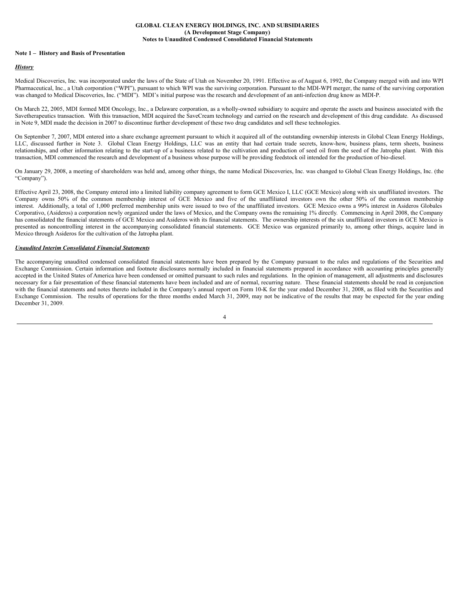# **Note 1 – History and Basis of Presentation**

### *History*

Medical Discoveries, Inc. was incorporated under the laws of the State of Utah on November 20, 1991. Effective as of August 6, 1992, the Company merged with and into WPI Pharmaceutical, Inc., a Utah corporation ("WPI"), pursuant to which WPI was the surviving corporation. Pursuant to the MDI-WPI merger, the name of the surviving corporation was changed to Medical Discoveries, Inc. ("MDI"). MDI's initial purpose was the research and development of an anti-infection drug know as MDI-P.

On March 22, 2005, MDI formed MDI Oncology, Inc., a Delaware corporation, as a wholly-owned subsidiary to acquire and operate the assets and business associated with the Savetherapeutics transaction. With this transaction, MDI acquired the SaveCream technology and carried on the research and development of this drug candidate. As discussed in Note 9, MDI made the decision in 2007 to discontinue further development of these two drug candidates and sell these technologies.

On September 7, 2007, MDI entered into a share exchange agreement pursuant to which it acquired all of the outstanding ownership interests in Global Clean Energy Holdings, LLC, discussed further in Note 3. Global Clean Energy Holdings, LLC was an entity that had certain trade secrets, know-how, business plans, term sheets, business relationships, and other information relating to the start-up of a business related to the cultivation and production of seed oil from the seed of the Jatropha plant. With this transaction, MDI commenced the research and development of a business whose purpose will be providing feedstock oil intended for the production of bio-diesel.

On January 29, 2008, a meeting of shareholders was held and, among other things, the name Medical Discoveries, Inc. was changed to Global Clean Energy Holdings, Inc. (the "Company").

Effective April 23, 2008, the Company entered into a limited liability company agreement to form GCE Mexico I, LLC (GCE Mexico) along with six unaffiliated investors. The Company owns 50% of the common membership interest of GCE Mexico and five of the unaffiliated investors own the other 50% of the common membership interest. Additionally, a total of 1,000 preferred membership units were issued to two of the unaffiliated investors. GCE Mexico owns a 99% interest in Asideros Globales Corporativo, (Asideros) a corporation newly organized under the laws of Mexico, and the Company owns the remaining 1% directly. Commencing in April 2008, the Company has consolidated the financial statements of GCE Mexico and Asideros with its financial statements. The ownership interests of the six unaffiliated investors in GCE Mexico is presented as noncontrolling interest in the accompanying consolidated financial statements. GCE Mexico was organized primarily to, among other things, acquire land in Mexico through Asideros for the cultivation of the Jatropha plant.

### *Unaudited Interim Consolidated Financial Statements*

The accompanying unaudited condensed consolidated financial statements have been prepared by the Company pursuant to the rules and regulations of the Securities and Exchange Commission. Certain information and footnote disclosures normally included in financial statements prepared in accordance with accounting principles generally accepted in the United States of America have been condensed or omitted pursuant to such rules and regulations. In the opinion of management, all adjustments and disclosures necessary for a fair presentation of these financial statements have been included and are of normal, recurring nature. These financial statements should be read in conjunction with the financial statements and notes thereto included in the Company's annual report on Form 10-K for the year ended December 31, 2008, as filed with the Securities and Exchange Commission. The results of operations for the three months ended March 31, 2009, may not be indicative of the results that may be expected for the year ending December 31, 2009.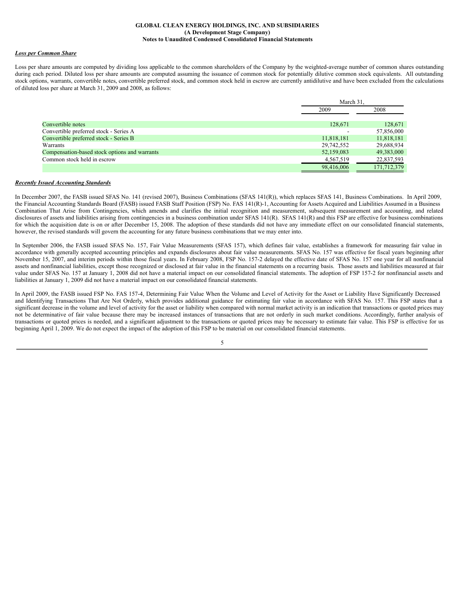## *Loss per Common Share*

Loss per share amounts are computed by dividing loss applicable to the common shareholders of the Company by the weighted-average number of common shares outstanding during each period. Diluted loss per share amounts are computed assuming the issuance of common stock for potentially dilutive common stock equivalents. All outstanding stock options, warrants, convertible notes, convertible preferred stock, and common stock held in escrow are currently antidilutive and have been excluded from the calculations of diluted loss per share at March 31, 2009 and 2008, as follows:

|                                               | March 31.  |             |
|-----------------------------------------------|------------|-------------|
|                                               | 2009       | 2008        |
|                                               |            |             |
| Convertible notes                             | 128,671    | 128,671     |
| Convertible preferred stock - Series A        |            | 57,856,000  |
| Convertible preferred stock - Series B        | 11,818,181 | 11,818,181  |
| Warrants                                      | 29,742,552 | 29,688,934  |
| Compensation-based stock options and warrants | 52,159,083 | 49,383,000  |
| Common stock held in escrow                   | 4,567,519  | 22,837,593  |
|                                               | 98,416,006 | 171,712,379 |

# *Recently Issued Accounting Standards*

In December 2007, the FASB issued SFAS No. 141 (revised 2007), Business Combinations (SFAS 141(R)), which replaces SFAS 141, Business Combinations. In April 2009, the Financial Accounting Standards Board (FASB) issued FASB Staff Position (FSP) No. FAS 141(R)-1, Accounting for Assets Acquired and Liabilities Assumed in a Business Combination That Arise from Contingencies, which amends and clarifies the initial recognition and measurement, subsequent measurement and accounting, and related disclosures of assets and liabilities arising from contingencies in a business combination under SFAS 141(R). SFAS 141(R) and this FSP are effective for business combinations for which the acquisition date is on or after December 15, 2008. The adoption of these standards did not have any immediate effect on our consolidated financial statements, however, the revised standards will govern the accounting for any future business combinations that we may enter into.

In September 2006, the FASB issued SFAS No. 157, Fair Value Measurements (SFAS 157), which defines fair value, establishes a framework for measuring fair value in accordance with generally accepted accounting principles and expands disclosures about fair value measurements. SFAS No. 157 was effective for fiscal years beginning after November 15, 2007, and interim periods within those fiscal years. In February 2008, FSP No. 157-2 delayed the effective date of SFAS No. 157 one year for all nonfinancial assets and nonfinancial liabilities, except those recognized or disclosed at fair value in the financial statements on a recurring basis. Those assets and liabilities measured at fair value under SFAS No. 157 at January 1, 2008 did not have a material impact on our consolidated financial statements. The adoption of FSP 157-2 for nonfinancial assets and liabilities at January 1, 2009 did not have a material impact on our consolidated financial statements.

In April 2009, the FASB issued FSP No. FAS 157-4, Determining Fair Value When the Volume and Level of Activity for the Asset or Liability Have Significantly Decreased and Identifying Transactions That Are Not Orderly, which provides additional guidance for estimating fair value in accordance with SFAS No. 157. This FSP states that a significant decrease in the volume and level of activity for the asset or liability when compared with normal market activity is an indication that transactions or quoted prices may not be determinative of fair value because there may be increased instances of transactions that are not orderly in such market conditions. Accordingly, further analysis of transactions or quoted prices is needed, and a significant adjustment to the transactions or quoted prices may be necessary to estimate fair value. This FSP is effective for us beginning April 1, 2009. We do not expect the impact of the adoption of this FSP to be material on our consolidated financial statements.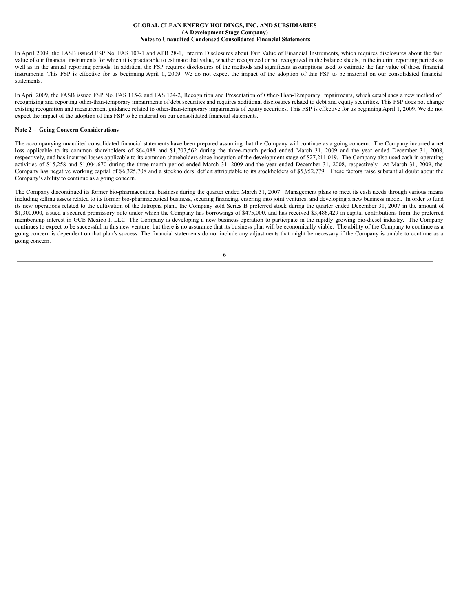In April 2009, the FASB issued FSP No. FAS 107-1 and APB 28-1, Interim Disclosures about Fair Value of Financial Instruments, which requires disclosures about the fair value of our financial instruments for which it is practicable to estimate that value, whether recognized or not recognized in the balance sheets, in the interim reporting periods as well as in the annual reporting periods. In addition, the FSP requires disclosures of the methods and significant assumptions used to estimate the fair value of those financial instruments. This FSP is effective for us beginning April 1, 2009. We do not expect the impact of the adoption of this FSP to be material on our consolidated financial statements.

In April 2009, the FASB issued FSP No. FAS 115-2 and FAS 124-2, Recognition and Presentation of Other-Than-Temporary Impairments, which establishes a new method of recognizing and reporting other-than-temporary impairments of debt securities and requires additional disclosures related to debt and equity securities. This FSP does not change existing recognition and measurement guidance related to other-than-temporary impairments of equity securities. This FSP is effective for us beginning April 1, 2009. We do not expect the impact of the adoption of this FSP to be material on our consolidated financial statements.

## **Note 2 – Going Concern Considerations**

The accompanying unaudited consolidated financial statements have been prepared assuming that the Company will continue as a going concern. The Company incurred a net loss applicable to its common shareholders of \$64,088 and \$1,707,562 during the three-month period ended March 31, 2009 and the year ended December 31, 2008, respectively, and has incurred losses applicable to its common shareholders since inception of the development stage of \$27,211,019. The Company also used cash in operating activities of \$15,258 and \$1,004,670 during the three-month period ended March 31, 2009 and the year ended December 31, 2008, respectively. At March 31, 2009, the Company has negative working capital of \$6,325,708 and a stockholders' deficit attributable to its stockholders of \$5,952,779. These factors raise substantial doubt about the Company's ability to continue as a going concern.

The Company discontinued its former bio-pharmaceutical business during the quarter ended March 31, 2007. Management plans to meet its cash needs through various means including selling assets related to its former bio-pharmaceutical business, securing financing, entering into joint ventures, and developing a new business model. In order to fund its new operations related to the cultivation of the Jatropha plant, the Company sold Series B preferred stock during the quarter ended December 31, 2007 in the amount of \$1,300,000, issued a secured promissory note under which the Company has borrowings of \$475,000, and has received \$3,486,429 in capital contributions from the preferred membership interest in GCE Mexico I, LLC. The Company is developing a new business operation to participate in the rapidly growing bio-diesel industry. The Company continues to expect to be successful in this new venture, but there is no assurance that its business plan will be economically viable. The ability of the Company to continue as a going concern is dependent on that plan's success. The financial statements do not include any adjustments that might be necessary if the Company is unable to continue as a going concern.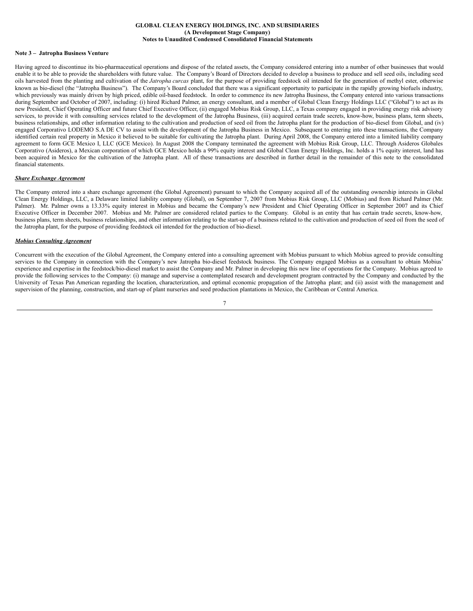### **Note 3 – Jatropha Business Venture**

Having agreed to discontinue its bio-pharmaceutical operations and dispose of the related assets, the Company considered entering into a number of other businesses that would enable it to be able to provide the shareholders with future value. The Company's Board of Directors decided to develop a business to produce and sell seed oils, including seed oils harvested from the planting and cultivation of the *Jatropha curcas* plant, for the purpose of providing feedstock oil intended for the generation of methyl ester, otherwise known as bio-diesel (the "Jatropha Business"). The Company's Board concluded that there was a significant opportunity to participate in the rapidly growing biofuels industry, which previously was mainly driven by high priced, edible oil-based feedstock. In order to commence its new Jatropha Business, the Company entered into various transactions during September and October of 2007, including: (i) hired Richard Palmer, an energy consultant, and a member of Global Clean Energy Holdings LLC ("Global") to act as its new President, Chief Operating Officer and future Chief Executive Officer, (ii) engaged Mobius Risk Group, LLC, a Texas company engaged in providing energy risk advisory services, to provide it with consulting services related to the development of the Jatropha Business, (iii) acquired certain trade secrets, know-how, business plans, term sheets, business relationships, and other information relating to the cultivation and production of seed oil from the Jatropha plant for the production of bio-diesel from Global, and (iv) engaged Corporativo LODEMO S.A DE CV to assist with the development of the Jatropha Business in Mexico. Subsequent to entering into these transactions, the Company identified certain real property in Mexico it believed to be suitable for cultivating the Jatropha plant. During April 2008, the Company entered into a limited liability company agreement to form GCE Mexico I, LLC (GCE Mexico). In August 2008 the Company terminated the agreement with Mobius Risk Group, LLC. Through Asideros Globales Corporativo (Asideros), a Mexican corporation of which GCE Mexico holds a 99% equity interest and Global Clean Energy Holdings, Inc. holds a 1% equity interest, land has been acquired in Mexico for the cultivation of the Jatropha plant. All of these transactions are described in further detail in the remainder of this note to the consolidated financial statements.

### *Share Exchange Agreement*

The Company entered into a share exchange agreement (the Global Agreement) pursuant to which the Company acquired all of the outstanding ownership interests in Global Clean Energy Holdings, LLC, a Delaware limited liability company (Global), on September 7, 2007 from Mobius Risk Group, LLC (Mobius) and from Richard Palmer (Mr. Palmer). Mr. Palmer owns a 13.33% equity interest in Mobius and became the Company's new President and Chief Operating Officer in September 2007 and its Chief Executive Officer in December 2007. Mobius and Mr. Palmer are considered related parties to the Company. Global is an entity that has certain trade secrets, know-how, business plans, term sheets, business relationships, and other information relating to the start-up of a business related to the cultivation and production of seed oil from the seed of the Jatropha plant, for the purpose of providing feedstock oil intended for the production of bio-diesel.

### *Mobius Consulting Agreement*

Concurrent with the execution of the Global Agreement, the Company entered into a consulting agreement with Mobius pursuant to which Mobius agreed to provide consulting services to the Company in connection with the Company's new Jatropha bio-diesel feedstock business. The Company engaged Mobius as a consultant to obtain Mobius' experience and expertise in the feedstock/bio-diesel market to assist the Company and Mr. Palmer in developing this new line of operations for the Company. Mobius agreed to provide the following services to the Company: (i) manage and supervise a contemplated research and development program contracted by the Company and conducted by the University of Texas Pan American regarding the location, characterization, and optimal economic propagation of the Jatropha plant; and (ii) assist with the management and supervision of the planning, construction, and start-up of plant nurseries and seed production plantations in Mexico, the Caribbean or Central America.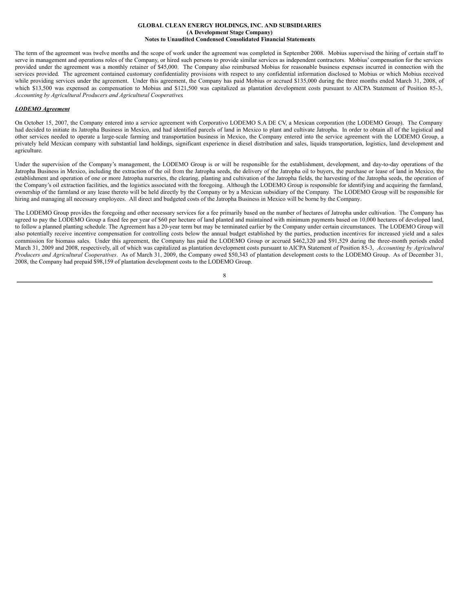The term of the agreement was twelve months and the scope of work under the agreement was completed in September 2008. Mobius supervised the hiring of certain staff to serve in management and operations roles of the Company, or hired such persons to provide similar services as independent contractors. Mobius' compensation for the services provided under the agreement was a monthly retainer of \$45,000. The Company also reimbursed Mobius for reasonable business expenses incurred in connection with the services provided. The agreement contained customary confidentiality provisions with respect to any confidential information disclosed to Mobius or which Mobius received while providing services under the agreement. Under this agreement, the Company has paid Mobius or accrued \$135,000 during the three months ended March 31, 2008, of which \$13,500 was expensed as compensation to Mobius and \$121,500 was capitalized as plantation development costs pursuant to AICPA Statement of Position 85-3, *Accounting by Agricultural Producers and Agricultural Cooperatives*.

# *LODEMO Agreement*

On October 15, 2007, the Company entered into a service agreement with Corporativo LODEMO S.A DE CV, a Mexican corporation (the LODEMO Group). The Company had decided to initiate its Jatropha Business in Mexico, and had identified parcels of land in Mexico to plant and cultivate Jatropha. In order to obtain all of the logistical and other services needed to operate a large-scale farming and transportation business in Mexico, the Company entered into the service agreement with the LODEMO Group, a privately held Mexican company with substantial land holdings, significant experience in diesel distribution and sales, liquids transportation, logistics, land development and agriculture.

Under the supervision of the Company's management, the LODEMO Group is or will be responsible for the establishment, development, and day-to-day operations of the Jatropha Business in Mexico, including the extraction of the oil from the Jatropha seeds, the delivery of the Jatropha oil to buyers, the purchase or lease of land in Mexico, the establishment and operation of one or more Jatropha nurseries, the clearing, planting and cultivation of the Jatropha fields, the harvesting of the Jatropha seeds, the operation of the Company's oil extraction facilities, and the logistics associated with the foregoing. Although the LODEMO Group is responsible for identifying and acquiring the farmland, ownership of the farmland or any lease thereto will be held directly by the Company or by a Mexican subsidiary of the Company. The LODEMO Group will be responsible for hiring and managing all necessary employees. All direct and budgeted costs of the Jatropha Business in Mexico will be borne by the Company.

The LODEMO Group provides the foregoing and other necessary services for a fee primarily based on the number of hectares of Jatropha under cultivation. The Company has agreed to pay the LODEMO Group a fixed fee per year of \$60 per hectare of land planted and maintained with minimum payments based on 10,000 hectares of developed land, to follow a planned planting schedule. The Agreement has a 20-year term but may be terminated earlier by the Company under certain circumstances. The LODEMO Group will also potentially receive incentive compensation for controlling costs below the annual budget established by the parties, production incentives for increased yield and a sales commission for biomass sales. Under this agreement, the Company has paid the LODEMO Group or accrued \$462,320 and \$91,529 during the three-month periods ended March 31, 2009 and 2008, respectively, all of which was capitalized as plantation development costs pursuant to AICPA Statement of Position 85-3, *Accounting by Agricultural Producers and Agricultural Cooperatives*. As of March 31, 2009, the Company owed \$50,343 of plantation development costs to the LODEMO Group. As of December 31, 2008, the Company had prepaid \$98,159 of plantation development costs to the LODEMO Group.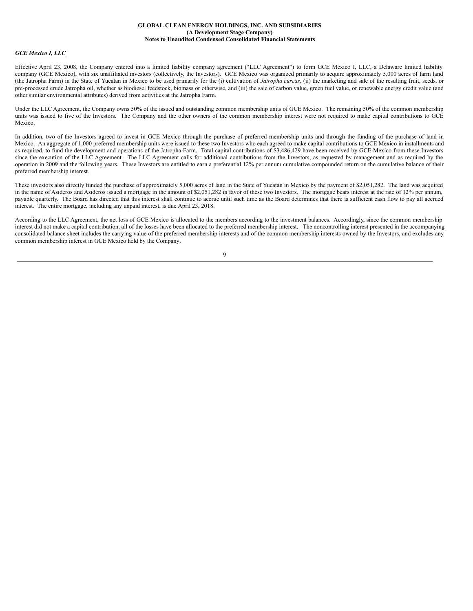# *GCE Mexico I, LLC*

Effective April 23, 2008, the Company entered into a limited liability company agreement ("LLC Agreement") to form GCE Mexico I, LLC, a Delaware limited liability company (GCE Mexico), with six unaffiliated investors (collectively, the Investors). GCE Mexico was organized primarily to acquire approximately 5,000 acres of farm land (the Jatropha Farm) in the State of Yucatan in Mexico to be used primarily for the (i) cultivation of *Jatropha curcas*, (ii) the marketing and sale of the resulting fruit, seeds, or pre-processed crude Jatropha oil, whether as biodiesel feedstock, biomass or otherwise, and (iii) the sale of carbon value, green fuel value, or renewable energy credit value (and other similar environmental attributes) derived from activities at the Jatropha Farm.

Under the LLC Agreement, the Company owns 50% of the issued and outstanding common membership units of GCE Mexico. The remaining 50% of the common membership units was issued to five of the Investors. The Company and the other owners of the common membership interest were not required to make capital contributions to GCE Mexico.

In addition, two of the Investors agreed to invest in GCE Mexico through the purchase of preferred membership units and through the funding of the purchase of land in Mexico. An aggregate of 1,000 preferred membership units were issued to these two Investors who each agreed to make capital contributions to GCE Mexico in installments and as required, to fund the development and operations of the Jatropha Farm. Total capital contributions of \$3,486,429 have been received by GCE Mexico from these Investors since the execution of the LLC Agreement. The LLC Agreement calls for additional contributions from the Investors, as requested by management and as required by the operation in 2009 and the following years. These Investors are entitled to earn a preferential 12% per annum cumulative compounded return on the cumulative balance of their preferred membership interest.

These investors also directly funded the purchase of approximately 5,000 acres of land in the State of Yucatan in Mexico by the payment of \$2,051,282. The land was acquired in the name of Asideros and Asideros issued a mortgage in the amount of \$2,051,282 in favor of these two Investors. The mortgage bears interest at the rate of 12% per annum, payable quarterly. The Board has directed that this interest shall continue to accrue until such time as the Board determines that there is sufficient cash flow to pay all accrued interest. The entire mortgage, including any unpaid interest, is due April 23, 2018.

According to the LLC Agreement, the net loss of GCE Mexico is allocated to the members according to the investment balances. Accordingly, since the common membership interest did not make a capital contribution, all of the losses have been allocated to the preferred membership interest. The noncontrolling interest presented in the accompanying consolidated balance sheet includes the carrying value of the preferred membership interests and of the common membership interests owned by the Investors, and excludes any common membership interest in GCE Mexico held by the Company.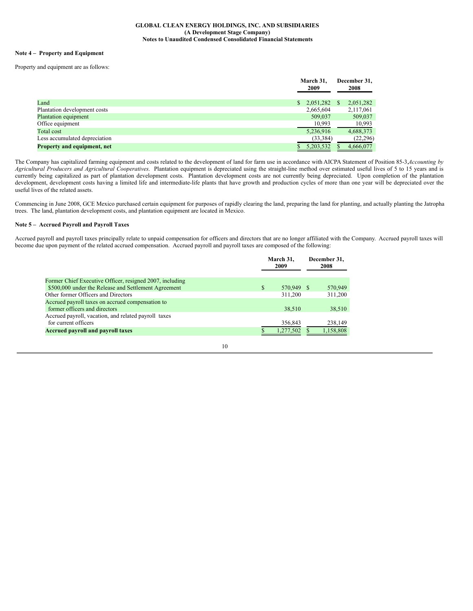# **Note 4 – Property and Equipment**

Property and equipment are as follows:

|                               |  | March 31.<br>2009     |   | December 31,<br>2008 |
|-------------------------------|--|-----------------------|---|----------------------|
| Land                          |  | $\frac{$}{2.051,282}$ | S | 2,051,282            |
| Plantation development costs  |  | 2,665,604             |   | 2,117,061            |
| Plantation equipment          |  | 509,037               |   | 509,037              |
| Office equipment              |  | 10,993                |   | 10,993               |
| Total cost                    |  | 5,236,916             |   | 4,688,373            |
| Less accumulated depreciation |  | (33, 384)             |   | (22, 296)            |
| Property and equipment, net   |  | 5,203,532             |   | 4,666,077            |

The Company has capitalized farming equipment and costs related to the development of land for farm use in accordance with AICPA Statement of Position 85-3,*Accounting by Agricultural Producers and Agricultural Cooperatives*. Plantation equipment is depreciated using the straight-line method over estimated useful lives of 5 to 15 years and is currently being capitalized as part of plantation development costs. Plantation development costs are not currently being depreciated. Upon completion of the plantation development, development costs having a limited life and intermediate-life plants that have growth and production cycles of more than one year will be depreciated over the useful lives of the related assets.

Commencing in June 2008, GCE Mexico purchased certain equipment for purposes of rapidly clearing the land, preparing the land for planting, and actually planting the Jatropha trees. The land, plantation development costs, and plantation equipment are located in Mexico.

# **Note 5 – Accrued Payroll and Payroll Taxes**

Accrued payroll and payroll taxes principally relate to unpaid compensation for officers and directors that are no longer affiliated with the Company. Accrued payroll taxes will become due upon payment of the related accrued compensation. Accrued payroll and payroll taxes are composed of the following:

|                                                          |   | March 31,<br>2009 |  | December 31,<br>2008 |  |
|----------------------------------------------------------|---|-------------------|--|----------------------|--|
| Former Chief Executive Officer, resigned 2007, including |   |                   |  |                      |  |
| \$500,000 under the Release and Settlement Agreement     | S | 570,949 \$        |  | 570,949              |  |
| Other former Officers and Directors                      |   | 311,200           |  | 311,200              |  |
| Accrued payroll taxes on accrued compensation to         |   |                   |  |                      |  |
| former officers and directors                            |   | 38,510            |  | 38,510               |  |
| Accrued payroll, vacation, and related payroll taxes     |   |                   |  |                      |  |
| for current officers                                     |   | 356,843           |  | 238,149              |  |
| <b>Accrued payroll and payroll taxes</b>                 |   | 1,277,502         |  | 1,158,808            |  |
| 10                                                       |   |                   |  |                      |  |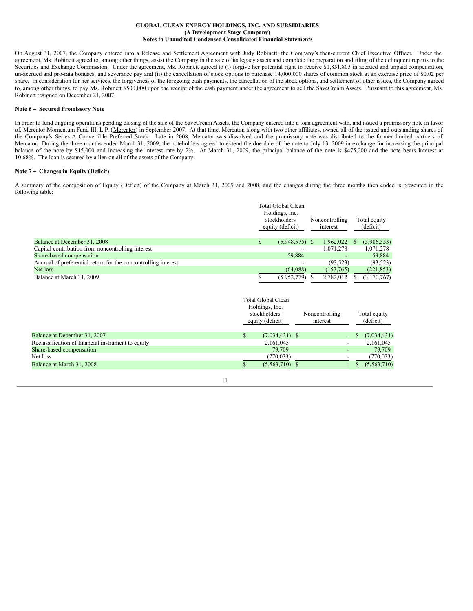On August 31, 2007, the Company entered into a Release and Settlement Agreement with Judy Robinett, the Company's then-current Chief Executive Officer. Under the agreement, Ms. Robinett agreed to, among other things, assist the Company in the sale of its legacy assets and complete the preparation and filing of the delinquent reports to the Securities and Exchange Commission. Under the agreement, Ms. Robinett agreed to (i) forgive her potential right to receive \$1,851,805 in accrued and unpaid compensation, un-accrued and pro-rata bonuses, and severance pay and (ii) the cancellation of stock options to purchase 14,000,000 shares of common stock at an exercise price of \$0.02 per share. In consideration for her services, the forgiveness of the foregoing cash payments, the cancellation of the stock options, and settlement of other issues, the Company agreed to, among other things, to pay Ms. Robinett \$500,000 upon the receipt of the cash payment under the agreement to sell the SaveCream Assets. Pursuant to this agreement, Ms. Robinett resigned on December 21, 2007.

## **Note 6 – Secured Promissory Note**

In order to fund ongoing operations pending closing of the sale of the SaveCream Assets, the Company entered into a loan agreement with, and issued a promissory note in favor of, Mercator Momentum Fund III, L.P. (Mercator) in September 2007. At that time, Mercator, along with two other affiliates, owned all of the issued and outstanding shares of the Company's Series A Convertible Preferred Stock. Late in 2008, Mercator was dissolved and the promissory note was distributed to the former limited partners of Mercator. During the three months ended March 31, 2009, the noteholders agreed to extend the due date of the note to July 13, 2009 in exchange for increasing the principal balance of the note by \$15,000 and increasing the interest rate by 2%. At March 31, 2009, the principal balance of the note is \$475,000 and the note bears interest at 10.68%. The loan is secured by a lien on all of the assets of the Company.

# **Note 7 – Changes in Equity (Deficit)**

A summary of the composition of Equity (Deficit) of the Company at March 31, 2009 and 2008, and the changes during the three months then ended is presented in the following table:

|                                                                | Total Global Clean<br>Holdings, Inc. |                            |                           |
|----------------------------------------------------------------|--------------------------------------|----------------------------|---------------------------|
|                                                                | stockholders'<br>equity (deficit)    | Noncontrolling<br>interest | Total equity<br>(deficit) |
| Balance at December 31, 2008                                   | $(5,948,575)$ \$                     | 1.962.022                  | (3,986,553)               |
| Capital contribution from noncontrolling interest              |                                      | 1,071,278                  | 1,071,278                 |
| Share-based compensation                                       | 59,884                               |                            | 59.884                    |
| Accrual of preferential return for the noncontrolling interest |                                      | (93, 523)                  | (93, 523)                 |
| Net loss                                                       | (64,088)                             | (157,765)                  | (221, 853)                |
| Balance at March 31, 2009                                      | (5,952,779)                          | 2,782,012                  | (3,170,767)               |

|                                                    | Total Global Clean<br>Holdings, Inc. |                                                         |
|----------------------------------------------------|--------------------------------------|---------------------------------------------------------|
|                                                    | stockholders'<br>equity (deficit)    | Total equity<br>Noncontrolling<br>(deficit)<br>interest |
| Balance at December 31, 2007                       | $(7,034,431)$ \$<br>S                | (7,034,431)<br>$\blacksquare$                           |
| Reclassification of financial instrument to equity | 2,161,045                            | 2,161,045<br>$\overline{\phantom{a}}$                   |
| Share-based compensation                           | 79.709                               | 79,709                                                  |
| Net loss                                           | (770, 033)                           | (770, 033)                                              |
| Balance at March 31, 2008                          | $(5,563,710)$ \$                     | (5,563,710)<br>$\blacksquare$                           |

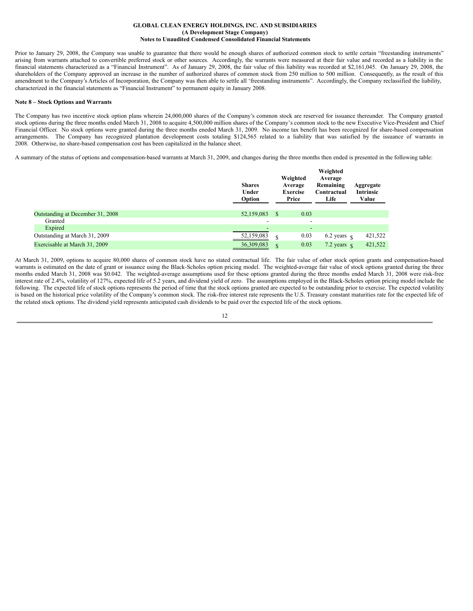Prior to January 29, 2008, the Company was unable to guarantee that there would be enough shares of authorized common stock to settle certain "freestanding instruments" arising from warrants attached to convertible preferred stock or other sources. Accordingly, the warrants were measured at their fair value and recorded as a liability in the financial statements characterized as a "Financial Instrument". As of January 29, 2008, the fair value of this liability was recorded at \$2,161,045. On January 29, 2008, the shareholders of the Company approved an increase in the number of authorized shares of common stock from 250 million to 500 million. Consequently, as the result of this amendment to the Company's Articles of Incorporation, the Company was then able to settle all 'freestanding instruments". Accordingly, the Company reclassified the liability, characterized in the financial statements as "Financial Instrument" to permanent equity in January 2008.

# **Note 8 – Stock Options and Warrants**

The Company has two incentive stock option plans wherein 24,000,000 shares of the Company's common stock are reserved for issuance thereunder. The Company granted stock options during the three months ended March 31, 2008 to acquire 4,500,000 million shares of the Company's common stock to the new Executive Vice-President and Chief Financial Officer. No stock options were granted during the three months eneded March 31, 2009. No income tax benefit has been recognized for share-based compensation arrangements. The Company has recognized plantation development costs totaling \$124,565 related to a liability that was satisfied by the issuance of warrants in 2008. Otherwise, no share-based compensation cost has been capitalized in the balance sheet.

A summary of the status of options and compensation-based warrants at March 31, 2009, and changes during the three months then ended is presented in the following table:

|                                  | <b>Shares</b><br>Under<br>Option |              | Weighted<br>Average<br><b>Exercise</b><br>Price | Weighted<br>Average<br>Remaining<br>Contractual<br>Life | Aggregate<br><b>Intrinsic</b><br>Value |
|----------------------------------|----------------------------------|--------------|-------------------------------------------------|---------------------------------------------------------|----------------------------------------|
| Outstanding at December 31, 2008 | 52,159,083                       | <sup>S</sup> | 0.03                                            |                                                         |                                        |
| Granted                          | -                                |              | $\overline{\phantom{a}}$                        |                                                         |                                        |
| Expired                          |                                  |              | $\overline{\phantom{a}}$                        |                                                         |                                        |
| Outstanding at March 31, 2009    | 52,159,083                       | \$.          | 0.03                                            | 6.2 years $\gamma$                                      | 421,522                                |
| Exercisable at March 31, 2009    | 36,309,083                       | S            | 0.03                                            | 7.2 years $\hat{\mathbf{s}}$                            | 421,522                                |

At March 31, 2009, options to acquire 80,000 shares of common stock have no stated contractual life. The fair value of other stock option grants and compensation-based warrants is estimated on the date of grant or issuance using the Black-Scholes option pricing model. The weighted-average fair value of stock options granted during the three months ended March 31, 2008 was \$0.042. The weighted-average assumptions used for these options granted during the three months ended March 31, 2008 were risk-free interest rate of 2.4%, volatility of 127%, expected life of 5.2 years, and dividend yield of zero. The assumptions employed in the Black-Scholes option pricing model include the following. The expected life of stock options represents the period of time that the stock options granted are expected to be outstanding prior to exercise. The expected volatility is based on the historical price volatility of the Company's common stock. The risk-free interest rate represents the U.S. Treasury constant maturities rate for the expected life of the related stock options. The dividend yield represents anticipated cash dividends to be paid over the expected life of the stock options.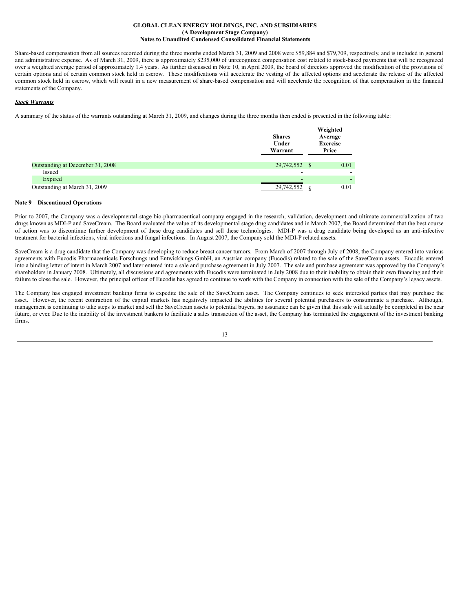Share-based compensation from all sources recorded during the three months ended March 31, 2009 and 2008 were \$59,884 and \$79,709, respectively, and is included in general and administrative expense. As of March 31, 2009, there is approximately \$235,000 of unrecognized compensation cost related to stock-based payments that will be recognized over a weighted average period of approximately 1.4 years. As further discussed in Note 10, in April 2009, the board of directors approved the modification of the provisions of certain options and of certain common stock held in escrow. These modifications will accelerate the vesting of the affected options and accelerate the release of the affected common stock held in escrow, which will result in a new measurement of share-based compensation and will accelerate the recognition of that compensation in the financial statements of the Company.

# *Stock Warrants*

A summary of the status of the warrants outstanding at March 31, 2009, and changes during the three months then ended is presented in the following table:

|                                  | <b>Shares</b><br>Under<br>Warrant | Weighted<br>Average<br><b>Exercise</b><br>Price |
|----------------------------------|-----------------------------------|-------------------------------------------------|
| Outstanding at December 31, 2008 | 29,742,552 \$                     | 0.01                                            |
| Issued                           | -                                 | -                                               |
| Expired                          |                                   |                                                 |
| Outstanding at March 31, 2009    | 29,742,552                        | 0.01                                            |

### **Note 9 – Discontinued Operations**

Prior to 2007, the Company was a developmental-stage bio-pharmaceutical company engaged in the research, validation, development and ultimate commercialization of two drugs known as MDI-P and SaveCream. The Board evaluated the value of its developmental stage drug candidates and in March 2007, the Board determined that the best course of action was to discontinue further development of these drug candidates and sell these technologies. MDI-P was a drug candidate being developed as an anti-infective treatment for bacterial infections, viral infections and fungal infections. In August 2007, the Company sold the MDI-P related assets.

SaveCream is a drug candidate that the Company was developing to reduce breast cancer tumors. From March of 2007 through July of 2008, the Company entered into various agreements with Eucodis Pharmaceuticals Forschungs und Entwicklungs GmbH, an Austrian company (Eucodis) related to the sale of the SaveCream assets. Eucodis entered into a binding letter of intent in March 2007 and later entered into a sale and purchase agreement in July 2007. The sale and purchase agreement was approved by the Company's shareholders in January 2008. Ultimately, all discussions and agreements with Eucodis were terminated in July 2008 due to their inability to obtain their own financing and their failure to close the sale. However, the principal officer of Eucodis has agreed to continue to work with the Company in connection with the sale of the Company's legacy assets.

The Company has engaged investment banking firms to expedite the sale of the SaveCream asset. The Company continues to seek interested parties that may purchase the asset. However, the recent contraction of the capital markets has negatively impacted the abilities for several potential purchasers to consummate a purchase. Although, management is continuing to take steps to market and sell the SaveCream assets to potential buyers, no assurance can be given that this sale will actually be completed in the near future, or ever. Due to the inability of the investment bankers to facilitate a sales transaction of the asset, the Company has terminated the engagement of the investment banking firms.

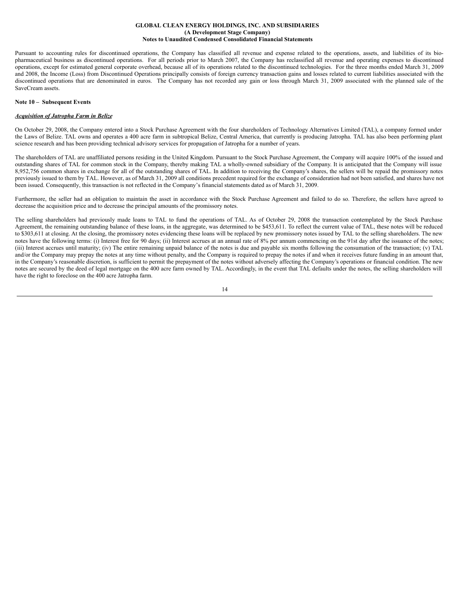Pursuant to accounting rules for discontinued operations, the Company has classified all revenue and expense related to the operations, assets, and liabilities of its biopharmaceutical business as discontinued operations. For all periods prior to March 2007, the Company has reclassified all revenue and operating expenses to discontinued operations, except for estimated general corporate overhead, because all of its operations related to the discontinued technologies. For the three months ended March 31, 2009 and 2008, the Income (Loss) from Discontinued Operations principally consists of foreign currency transaction gains and losses related to current liabilities associated with the discontinued operations that are denominated in euros. The Company has not recorded any gain or loss through March 31, 2009 associated with the planned sale of the SaveCream assets.

# **Note 10 – Subsequent Events**

## *Acquisition of Jatropha Farm in Belize*

On October 29, 2008, the Company entered into a Stock Purchase Agreement with the four shareholders of Technology Alternatives Limited (TAL), a company formed under the Laws of Belize. TAL owns and operates a 400 acre farm in subtropical Belize, Central America, that currently is producing Jatropha. TAL has also been performing plant science research and has been providing technical advisory services for propagation of Jatropha for a number of years.

The shareholders of TAL are unaffiliated persons residing in the United Kingdom. Pursuant to the Stock Purchase Agreement, the Company will acquire 100% of the issued and outstanding shares of TAL for common stock in the Company, thereby making TAL a wholly-owned subsidiary of the Company. It is anticipated that the Company will issue 8,952,756 common shares in exchange for all of the outstanding shares of TAL. In addition to receiving the Company's shares, the sellers will be repaid the promissory notes previously issued to them by TAL. However, as of March 31, 2009 all conditions precedent required for the exchange of consideration had not been satisfied, and shares have not been issued. Consequently, this transaction is not reflected in the Company's financial statements dated as of March 31, 2009.

Furthermore, the seller had an obligation to maintain the asset in accordance with the Stock Purchase Agreement and failed to do so. Therefore, the sellers have agreed to decrease the acquisition price and to decrease the principal amounts of the promissory notes.

The selling shareholders had previously made loans to TAL to fund the operations of TAL. As of October 29, 2008 the transaction contemplated by the Stock Purchase Agreement, the remaining outstanding balance of these loans, in the aggregate, was determined to be \$453,611. To reflect the current value of TAL, these notes will be reduced to \$303,611 at closing. At the closing, the promissory notes evidencing these loans will be replaced by new promissory notes issued by TAL to the selling shareholders. The new notes have the following terms: (i) Interest free for 90 days; (ii) Interest accrues at an annual rate of 8% per annum commencing on the 91st day after the issuance of the notes; (iii) Interest accrues until maturity; (iv) The entire remaining unpaid balance of the notes is due and payable six months following the consumation of the transaction; (v) TAL and/or the Company may prepay the notes at any time without penalty, and the Company is required to prepay the notes if and when it receives future funding in an amount that, in the Company's reasonable discretion, is sufficient to permit the prepayment of the notes without adversely affecting the Company's operations or financial condition. The new notes are secured by the deed of legal mortgage on the 400 acre farm owned by TAL. Accordingly, in the event that TAL defaults under the notes, the selling shareholders will have the right to foreclose on the 400 acre Jatropha farm.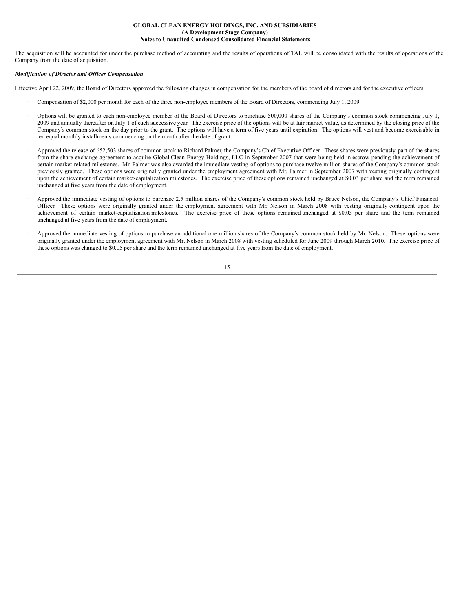The acquisition will be accounted for under the purchase method of accounting and the results of operations of TAL will be consolidated with the results of operations of the Company from the date of acquisition.

# *Modification of Director and Of icer Compensation*

Effective April 22, 2009, the Board of Directors approved the following changes in compensation for the members of the board of directors and for the executive officers:

- · Compensation of \$2,000 per month for each of the three non-employee members of the Board of Directors, commencing July 1, 2009.
- · Options will be granted to each non-employee member of the Board of Directors to purchase 500,000 shares of the Company's common stock commencing July 1, 2009 and annually thereafter on July 1 of each successive year. The exercise price of the options will be at fair market value, as determined by the closing price of the Company's common stock on the day prior to the grant. The options will have a term of five years until expiration. The options will vest and become exercisable in ten equal monthly installments commencing on the month after the date of grant.
- Approved the release of 652,503 shares of common stock to Richard Palmer, the Company's Chief Executive Officer. These shares were previously part of the shares from the share exchange agreement to acquire Global Clean Energy Holdings, LLC in September 2007 that were being held in escrow pending the achievement of certain market-related milestones. Mr. Palmer was also awarded the immediate vesting of options to purchase twelve million shares of the Company's common stock previously granted. These options were originally granted under the employment agreement with Mr. Palmer in September 2007 with vesting originally contingent upon the achievement of certain market-capitalization milestones. The exercise price of these options remained unchanged at \$0.03 per share and the term remained unchanged at five years from the date of employment.
- · Approved the immediate vesting of options to purchase 2.5 million shares of the Company's common stock held by Bruce Nelson, the Company's Chief Financial Officer. These options were originally granted under the employment agreement with Mr. Nelson in March 2008 with vesting originally contingent upon the achievement of certain market-capitalization milestones. The exercise price of these options remained unchanged at \$0.05 per share and the term remained unchanged at five years from the date of employment.
- Approved the immediate vesting of options to purchase an additional one million shares of the Company's common stock held by Mr. Nelson. These options were originally granted under the employment agreement with Mr. Nelson in March 2008 with vesting scheduled for June 2009 through March 2010. The exercise price of these options was changed to \$0.05 per share and the term remained unchanged at five years from the date of employment.

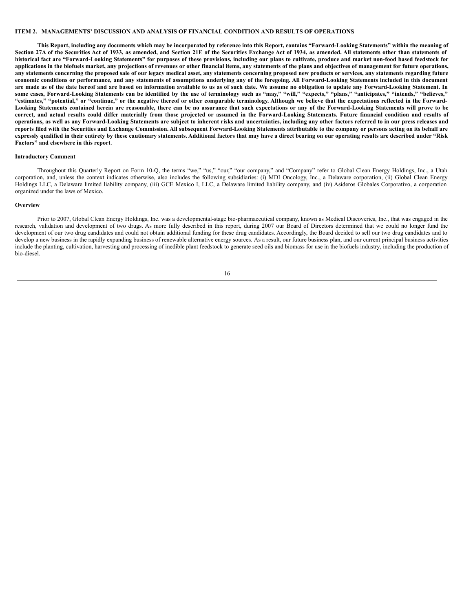### **ITEM 2. MANAGEMENTS' DISCUSSION AND ANALYSIS OF FINANCIAL CONDITION AND RESULTS OF OPERATIONS**.

This Report, including any documents which may be incorporated by reference into this Report, contains "Forward-Looking Statements" within the meaning of Section 27A of the Securities Act of 1933, as amended, and Section 21E of the Securities Exchange Act of 1934, as amended. All statements other than statements of historical fact are "Forward-Looking Statements" for purposes of these provisions, including our plans to cultivate, produce and market non-food based feedstock for applications in the biofuels market, any projections of revenues or other financial items, any statements of the plans and objectives of management for future operations, any statements concerning the proposed sale of our legacy medical asset, any statements concerning proposed new products or services, any statements regarding future economic conditions or performance, and any statements of assumptions underlying any of the foregoing. All Forward-Looking Statements included in this document are made as of the date hereof and are based on information available to us as of such date. We assume no obligation to update any Forward-Looking Statement. In some cases, Forward-Looking Statements can be identified by the use of terminology such as "may," "will," "expects," "plans," "anticipates," "intends," "believes," "estimates," "potential," or "continue," or the negative thereof or other comparable terminology. Although we believe that the expectations reflected in the Forward-Looking Statements contained herein are reasonable, there can be no assurance that such expectations or any of the Forward-Looking Statements will prove to be correct, and actual results could differ materially from those projected or assumed in the Forward-Looking Statements. Future financial condition and results of operations, as well as any Forward-Looking Statements are subject to inherent risks and uncertainties, including any other factors referred to in our press releases and reports filed with the Securities and Exchange Commission. All subsequent Forward-Looking Statements attributable to the company or persons acting on its behalf are expressly qualified in their entirety by these cautionary statements. Additional factors that may have a direct bearing on our operating results are described under "Risk **Factors" and elsewhere in this report**.

# **Introductory Comment**

Throughout this Quarterly Report on Form 10-Q, the terms "we," "us," "our," "our company," and "Company" refer to Global Clean Energy Holdings, Inc., a Utah corporation, and, unless the context indicates otherwise, also includes the following subsidiaries: (i) MDI Oncology, Inc., a Delaware corporation, (ii) Global Clean Energy Holdings LLC, a Delaware limited liability company, (iii) GCE Mexico I, LLC, a Delaware limited liability company, and (iv) Asideros Globales Corporativo, a corporation organized under the laws of Mexico.

#### **Overview**

Prior to 2007, Global Clean Energy Holdings, Inc. was a developmental-stage bio-pharmaceutical company, known as Medical Discoveries, Inc., that was engaged in the research, validation and development of two drugs. As more fully described in this report, during 2007 our Board of Directors determined that we could no longer fund the development of our two drug candidates and could not obtain additional funding for these drug candidates. Accordingly, the Board decided to sell our two drug candidates and to develop a new business in the rapidly expanding business of renewable alternative energy sources. As a result, our future business plan, and our current principal business activities include the planting, cultivation, harvesting and processing of inedible plant feedstock to generate seed oils and biomass for use in the biofuels industry, including the production of bio-diesel.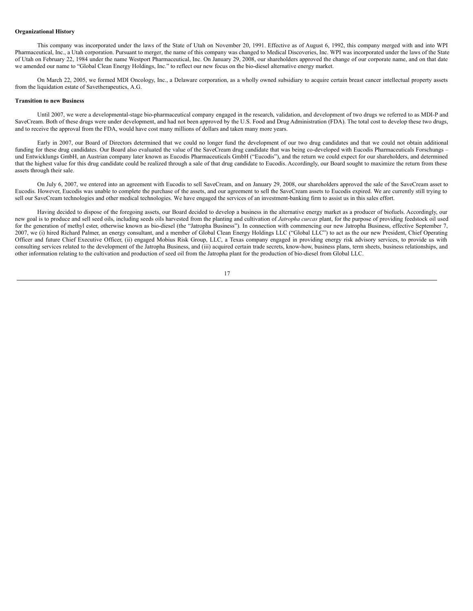#### **Organizational History**

This company was incorporated under the laws of the State of Utah on November 20, 1991. Effective as of August 6, 1992, this company merged with and into WPI Pharmaceutical, Inc., a Utah corporation. Pursuant to merger, the name of this company was changed to Medical Discoveries, Inc. WPI was incorporated under the laws of the State of Utah on February 22, 1984 under the name Westport Pharmaceutical, Inc. On January 29, 2008, our shareholders approved the change of our corporate name, and on that date we amended our name to "Global Clean Energy Holdings, Inc." to reflect our new focus on the bio-diesel alternative energy market.

On March 22, 2005, we formed MDI Oncology, Inc., a Delaware corporation, as a wholly owned subsidiary to acquire certain breast cancer intellectual property assets from the liquidation estate of Savetherapeutics, A.G.

# **Transition to new Business**

Until 2007, we were a developmental-stage bio-pharmaceutical company engaged in the research, validation, and development of two drugs we referred to as MDI-P and SaveCream. Both of these drugs were under development, and had not been approved by the U.S. Food and Drug Administration (FDA). The total cost to develop these two drugs, and to receive the approval from the FDA, would have cost many millions of dollars and taken many more years.

Early in 2007, our Board of Directors determined that we could no longer fund the development of our two drug candidates and that we could not obtain additional funding for these drug candidates. Our Board also evaluated the value of the SaveCream drug candidate that was being co-developed with Eucodis Pharmaceuticals Forschungs und Entwicklungs GmbH, an Austrian company later known as Eucodis Pharmaceuticals GmbH ("Eucodis"), and the return we could expect for our shareholders, and determined that the highest value for this drug candidate could be realized through a sale of that drug candidate to Eucodis. Accordingly, our Board sought to maximize the return from these assets through their sale.

On July 6, 2007, we entered into an agreement with Eucodis to sell SaveCream, and on January 29, 2008, our shareholders approved the sale of the SaveCream asset to Eucodis. However, Eucodis was unable to complete the purchase of the assets, and our agreement to sell the SaveCream assets to Eucodis expired. We are currently still trying to sell our SaveCream technologies and other medical technologies. We have engaged the services of an investment-banking firm to assist us in this sales effort.

Having decided to dispose of the foregoing assets, our Board decided to develop a business in the alternative energy market as a producer of biofuels. Accordingly, our new goal is to produce and sell seed oils, including seeds oils harvested from the planting and cultivation of *Jatropha curcas* plant, for the purpose of providing feedstock oil used for the generation of methyl ester, otherwise known as bio-diesel (the "Jatropha Business"). In connection with commencing our new Jatropha Business, effective September 7, 2007, we (i) hired Richard Palmer, an energy consultant, and a member of Global Clean Energy Holdings LLC ("Global LLC") to act as the our new President, Chief Operating Officer and future Chief Executive Officer, (ii) engaged Mobius Risk Group, LLC, a Texas company engaged in providing energy risk advisory services, to provide us with consulting services related to the development of the Jatropha Business, and (iii) acquired certain trade secrets, know-how, business plans, term sheets, business relationships, and other information relating to the cultivation and production of seed oil from the Jatropha plant for the production of bio-diesel from Global LLC.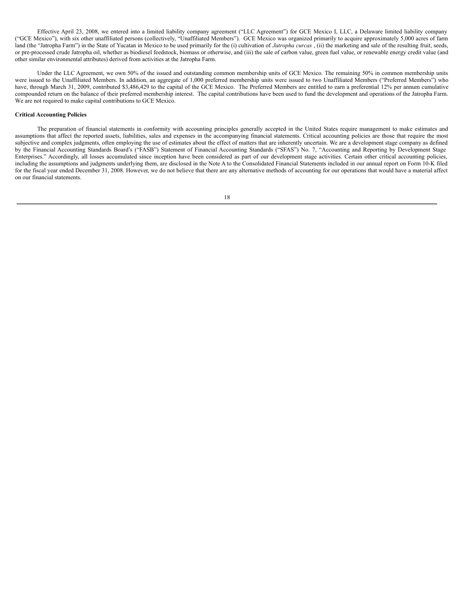Effective April 23, 2008, we entered into a limited liability company agreement ("LLC Agreement") for GCE Mexico I, LLC, a Delaware limited liability company ("GCE Mexico"), with six other unaffiliated persons (collectively, "Unaffiliated Members"). GCE Mexico was organized primarily to acquire approximately 5,000 acres of farm land (the "Jatropha Farm") in the State of Yucatan in Mexico to be used primarily for the (i) cultivation of *Jatropha curcas* , (ii) the marketing and sale of the resulting fruit, seeds, or pre-processed crude Jatropha oil, whether as biodiesel feedstock, biomass or otherwise, and (iii) the sale of carbon value, green fuel value, or renewable energy credit value (and other similar environmental attributes) derived from activities at the Jatropha Farm.

Under the LLC Agreement, we own 50% of the issued and outstanding common membership units of GCE Mexico. The remaining 50% in common membership units were issued to the Unaffiliated Members. In addition, an aggregate of 1,000 preferred membership units were issued to two Unaffiliated Members ("Preferred Members") who have, through March 31, 2009, contributed \$3,486,429 to the capital of the GCE Mexico. The Preferred Members are entitled to earn a preferential 12% per annum cumulative compounded return on the balance of their preferred membership interest. The capital contributions have been used to fund the development and operations of the Jatropha Farm. We are not required to make capital contributions to GCE Mexico.

# **Critical Accounting Policies**

The preparation of financial statements in conformity with accounting principles generally accepted in the United States require management to make estimates and assumptions that affect the reported assets, liabilities, sales and expenses in the accompanying financial statements. Critical accounting policies are those that require the most subjective and complex judgments, often employing the use of estimates about the effect of matters that are inherently uncertain. We are a development stage company as defined by the Financial Accounting Standards Board's ("FASB") Statement of Financial Accounting Standards ("SFAS") No. 7, "Accounting and Reporting by Development Stage Enterprises." Accordingly, all losses accumulated since inception have been considered as part of our development stage activities. Certain other critical accounting policies, including the assumptions and judgments underlying them, are disclosed in the Note A to the Consolidated Financial Statements included in our annual report on Form 10-K filed for the fiscal year ended December 31, 2008. However, we do not believe that there are any alternative methods of accounting for our operations that would have a material affect on our financial statements.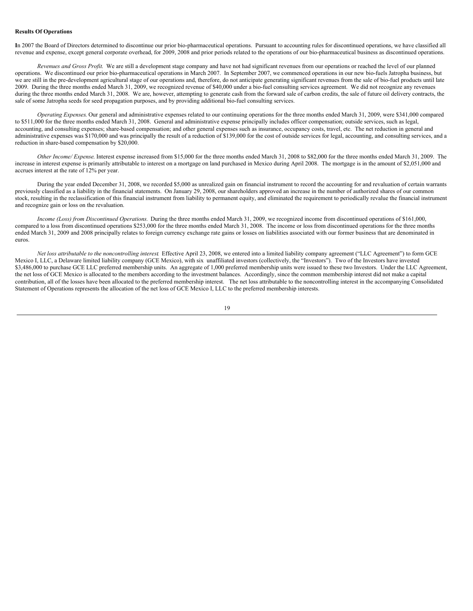#### **Results Of Operations**

**I**n 2007 the Board of Directors determined to discontinue our prior bio-pharmaceutical operations. Pursuant to accounting rules for discontinued operations, we have classified all revenue and expense, except general corporate overhead, for 2009, 2008 and prior periods related to the operations of our bio-pharmaceutical business as discontinued operations.

*Revenues and Gross Profit*. We are still a development stage company and have not had significant revenues from our operations or reached the level of our planned operations. We discontinued our prior bio-pharmaceutical operations in March 2007. In September 2007, we commenced operations in our new bio-fuels Jatropha business, but we are still in the pre-development agricultural stage of our operations and, therefore, do not anticipate generating significant revenues from the sale of bio-fuel products until late 2009. During the three months ended March 31, 2009, we recognized revenue of \$40,000 under a bio-fuel consulting services agreement. We did not recognize any revenues during the three months ended March 31, 2008. We are, however, attempting to generate cash from the forward sale of carbon credits, the sale of future oil delivery contracts, the sale of some Jatropha seeds for seed propagation purposes, and by providing additional bio-fuel consulting services.

*Operating Expenses*. Our general and administrative expenses related to our continuing operations for the three months ended March 31, 2009, were \$341,000 compared to \$511,000 for the three months ended March 31, 2008. General and administrative expense principally includes officer compensation; outside services, such as legal, accounting, and consulting expenses; share-based compensation; and other general expenses such as insurance, occupancy costs, travel, etc. The net reduction in general and administrative expenses was \$170,000 and was principally the result of a reduction of \$139,000 for the cost of outside services for legal, accounting, and consulting services, and a reduction in share-based compensation by \$20,000.

*Other Income/ Expense*. Interest expense increased from \$15,000 for the three months ended March 31, 2008 to \$82,000 for the three months ended March 31, 2009. The increase in interest expense is primarily attributable to interest on a mortgage on land purchased in Mexico during April 2008. The mortgage is in the amount of \$2,051,000 and accrues interest at the rate of 12% per year.

During the year ended December 31, 2008, we recorded \$5,000 as unrealized gain on financial instrument to record the accounting for and revaluation of certain warrants previously classified as a liability in the financial statements. On January 29, 2008, our shareholders approved an increase in the number of authorized shares of our common stock, resulting in the reclassification of this financial instrument from liability to permanent equity, and eliminated the requirement to periodically revalue the financial instrument and recognize gain or loss on the revaluation.

*Income (Loss) from Discontinued Operations.* During the three months ended March 31, 2009, we recognized income from discontinued operations of \$161,000, compared to a loss from discontinued operations \$253,000 for the three months ended March 31, 2008. The income or loss from discontinued operations for the three months ended March 31, 2009 and 2008 principally relates to foreign currency exchange rate gains or losses on liabilities associated with our former business that are denominated in euros.

*Net loss attributable to the noncontrolling interest*. Effective April 23, 2008, we entered into a limited liability company agreement ("LLC Agreement") to form GCE Mexico I, LLC, a Delaware limited liability company (GCE Mexico), with six unaffiliated investors (collectively, the "Investors"). Two of the Investors have invested \$3,486,000 to purchase GCE LLC preferred membership units. An aggregate of 1,000 preferred membership units were issued to these two Investors. Under the LLC Agreement, the net loss of GCE Mexico is allocated to the members according to the investment balances. Accordingly, since the common membership interest did not make a capital contribution, all of the losses have been allocated to the preferred membership interest. The net loss attributable to the noncontrolling interest in the accompanying Consolidated Statement of Operations represents the allocation of the net loss of GCE Mexico I, LLC to the preferred membership interests.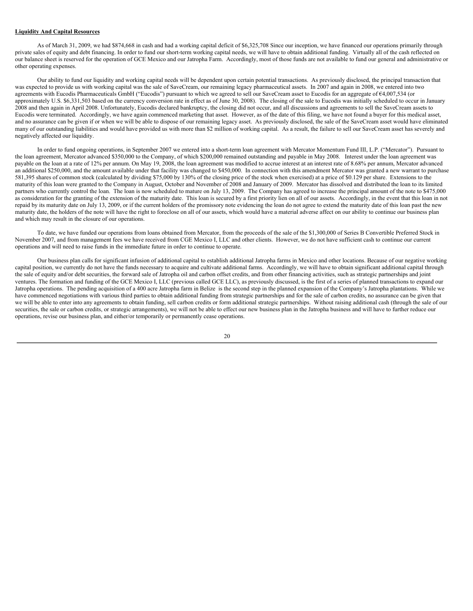### **Liquidity And Capital Resources**

As of March 31, 2009, we had \$874,668 in cash and had a working capital deficit of \$6,325,708 Since our inception, we have financed our operations primarily through private sales of equity and debt financing. In order to fund our short-term working capital needs, we will have to obtain additional funding. Virtually all of the cash reflected on our balance sheet is reserved for the operation of GCE Mexico and our Jatropha Farm. Accordingly, most of those funds are not available to fund our general and administrative or other operating expenses.

Our ability to fund our liquidity and working capital needs will be dependent upon certain potential transactions. As previously disclosed, the principal transaction that was expected to provide us with working capital was the sale of SaveCream, our remaining legacy pharmaceutical assets. In 2007 and again in 2008, we entered into two agreements with Eucodis Pharmaceuticals GmbH ("Eucodis") pursuant to which we agreed to sell our SaveCream asset to Eucodis for an aggregate of €4,007,534 (or approximately U.S. \$6,331,503 based on the currency conversion rate in effect as of June 30, 2008). The closing of the sale to Eucodis was initially scheduled to occur in January 2008 and then again in April 2008. Unfortunately, Eucodis declared bankruptcy, the closing did not occur, and all discussions and agreements to sell the SaveCream assets to Eucodis were terminated. Accordingly, we have again commenced marketing that asset. However, as of the date of this filing, we have not found a buyer for this medical asset, and no assurance can be given if or when we will be able to dispose of our remaining legacy asset. As previously disclosed, the sale of the SaveCream asset would have eliminated many of our outstanding liabilities and would have provided us with more than \$2 million of working capital. As a result, the failure to sell our SaveCream asset has severely and negatively affected our liquidity.

In order to fund ongoing operations, in September 2007 we entered into a short-term loan agreement with Mercator Momentum Fund III, L.P. ("Mercator"). Pursuant to the loan agreement, Mercator advanced \$350,000 to the Company, of which \$200,000 remained outstanding and payable in May 2008. Interest under the loan agreement was payable on the loan at a rate of 12% per annum. On May 19, 2008, the loan agreement was modified to accrue interest at an interest rate of 8.68% per annum, Mercator advanced an additional \$250,000, and the amount available under that facility was changed to \$450,000. In connection with this amendment Mercator was granted a new warrant to purchase 581,395 shares of common stock (calculated by dividing \$75,000 by 130% of the closing price of the stock when exercised) at a price of \$0.129 per share. Extensions to the maturity of this loan were granted to the Company in August, October and November of 2008 and January of 2009. Mercator has dissolved and distributed the loan to its limited partners who currently control the loan. The loan is now scheduled to mature on July 13, 2009. The Company has agreed to increase the principal amount of the note to \$475,000 as consideration for the granting of the extension of the maturity date. This loan is secured by a first priority lien on all of our assets. Accordingly, in the event that this loan in not repaid by its maturity date on July 13, 2009, or if the current holders of the promissory note evidencing the loan do not agree to extend the maturity date of this loan past the new maturity date, the holders of the note will have the right to foreclose on all of our assets, which would have a material adverse affect on our ability to continue our business plan and which may result in the closure of our operations.

To date, we have funded our operations from loans obtained from Mercator, from the proceeds of the sale of the \$1,300,000 of Series B Convertible Preferred Stock in November 2007, and from management fees we have received from CGE Mexico I, LLC and other clients. However, we do not have sufficient cash to continue our current operations and will need to raise funds in the immediate future in order to continue to operate.

Our business plan calls for significant infusion of additional capital to establish additional Jatropha farms in Mexico and other locations. Because of our negative working capital position, we currently do not have the funds necessary to acquire and cultivate additional farms. Accordingly, we will have to obtain significant additional capital through the sale of equity and/or debt securities, the forward sale of Jatropha oil and carbon offset credits, and from other financing activities, such as strategic partnerships and joint ventures. The formation and funding of the GCE Mexico I, LLC (previous called GCE LLC), as previously discussed, is the first of a series of planned transactions to expand our Jatropha operations. The pending acquisition of a 400 acre Jatropha farm in Belize is the second step in the planned expansion of the Company's Jatropha plantations. While we have commenced negotiations with various third parties to obtain additional funding from strategic partnerships and for the sale of carbon credits, no assurance can be given that we will be able to enter into any agreements to obtain funding, sell carbon credits or form additional strategic partnerships. Without raising additional cash (through the sale of our securities, the sale or carbon credits, or strategic arrangements), we will not be able to effect our new business plan in the Jatropha business and will have to further reduce our operations, revise our business plan, and either/or temporarily or permanently cease operations.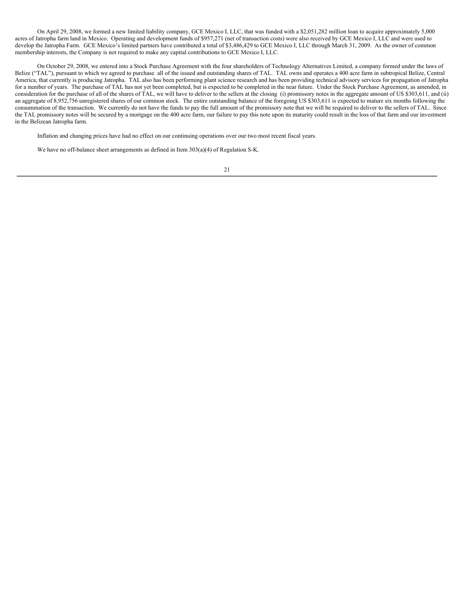On April 29, 2008, we formed a new limited liability company, GCE Mexico I, LLC, that was funded with a \$2,051,282 million loan to acquire approximately 5,000 acres of Jatropha farm land in Mexico. Operating and development funds of \$957,271 (net of transaction costs) were also received by GCE Mexico I, LLC and were used to develop the Jatropha Farm. GCE Mexico's limited partners have contributed a total of \$3,486,429 to GCE Mexico I, LLC through March 31, 2009. As the owner of common membership interests, the Company is not required to make any capital contributions to GCE Mexico I, LLC.

On October 29, 2008, we entered into a Stock Purchase Agreement with the four shareholders of Technology Alternatives Limited, a company formed under the laws of Belize ("TAL"), pursuant to which we agreed to purchase all of the issued and outstanding shares of TAL. TAL owns and operates a 400 acre farm in subtropical Belize, Central America, that currently is producing Jatropha. TAL also has been performing plant science research and has been providing technical advisory services for propagation of Jatropha for a number of years. The purchase of TAL has not yet been completed, but is expected to be completed in the near future. Under the Stock Purchase Agreement, as amended, in consideration for the purchase of all of the shares of TAL, we will have to deliver to the sellers at the closing (i) promissory notes in the aggregate amount of US \$303,611, and (ii) an aggregate of 8,952,756 unregistered shares of our common stock. The entire outstanding balance of the foregoing US \$303,611 is expected to mature six months following the consummation of the transaction. We currently do not have the funds to pay the full amount of the promissory note that we will be required to deliver to the sellers of TAL. Since the TAL promissory notes will be secured by a mortgage on the 400 acre farm, our failure to pay this note upon its maturity could result in the loss of that farm and our investment in the Belizean Jatropha farm.

Inflation and changing prices have had no effect on our continuing operations over our two most recent fiscal years.

We have no off-balance sheet arrangements as defined in Item 303(a)(4) of Regulation S-K.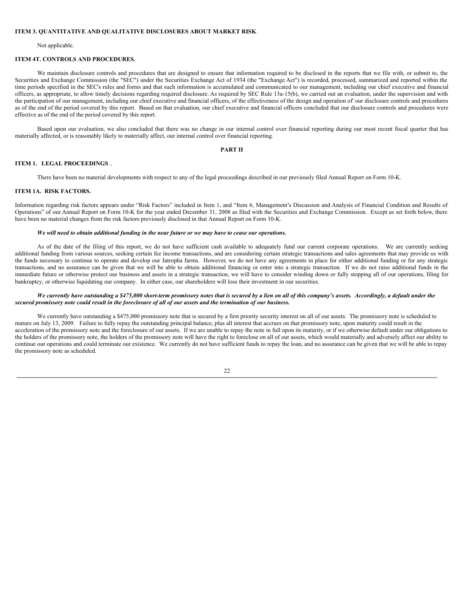### **ITEM 3. QUANTITATIVE AND QUALITATIVE DISCLOSURES ABOUT MARKET RISK**.

# Not applicable.

# **ITEM 4T. CONTROLS AND PROCEDURES.**

We maintain disclosure controls and procedures that are designed to ensure that information required to be disclosed in the reports that we file with, or submit to, the Securities and Exchange Commission (the "SEC") under the Securities Exchange Act of 1934 (the "Exchange Act") is recorded, processed, summarized and reported within the time periods specified in the SEC's rules and forms and that such information is accumulated and communicated to our management, including our chief executive and financial officers, as appropriate, to allow timely decisions regarding required disclosure. As required by SEC Rule 13a-15(b), we carried out an evaluation, under the supervision and with the participation of our management, including our chief executive and financial officers, of the effectiveness of the design and operation of our disclosure controls and procedures as of the end of the period covered by this report. Based on that evaluation, our chief executive and financial officers concluded that our disclosure controls and procedures were effective as of the end of the period covered by this report.

Based upon our evaluation, we also concluded that there was no change in our internal control over financial reporting during our most recent fiscal quarter that has materially affected, or is reasonably likely to materially affect, our internal control over financial reporting.

### **PART II**

### **ITEM 1. LEGAL PROCEEDINGS** ..

There have been no material developments with respect to any of the legal proceedings described in our previously filed Annual Report on Form 10-K.

# **ITEM 1A. RISK FACTORS.**

Information regarding risk factors appears under "Risk Factors" included in Item 1, and "Item 6, Management's Discussion and Analysis of Financial Condition and Results of Operations" of our Annual Report on Form 10-K for the year ended December 31, 2008 as filed with the Securities and Exchange Commission. Except as set forth below, there have been no material changes from the risk factors previously disclosed in that Annual Report on Form 10-K.

### We will need to obtain additional funding in the near future or we may have to cease our operations.

As of the date of the filing of this report, we do not have sufficient cash available to adequately fund our current corporate operations. We are currently seeking additional funding from various sources, seeking certain fee income transactions, and are considering certain strategic transactions and sales agreements that may provide us with the funds necessary to continue to operate and develop our Jatropha farms. However, we do not have any agreements in place for either additional funding or for any strategic transactions, and no assurance can be given that we will be able to obtain additional financing or enter into a strategic transaction. If we do not raise additional funds in the immediate future or otherwise protect our business and assets in a strategic transaction, we will have to consider winding down or fully stopping all of our operations, filing for bankruptcy, or otherwise liquidating our company. In either case, our shareholders will lose their investment in our securities.

### We currently have outstanding a \$475,000 short-term promissory notes that is secured by a lien on all of this company's assets. Accordingly, a default under the secured promissory note could result in the foreclosure of all of our assets and the termination of our business.

We currently have outstanding a \$475,000 promissory note that is secured by a first priority security interest on all of our assets. The promissory note is scheduled to mature on July 13, 2009. Failure to fully repay the outstanding principal balance, plus all interest that accrues on that promissory note, upon maturity could result in the acceleration of the promissory note and the foreclosure of our assets. If we are unable to repay the note in full upon its maturity, or if we otherwise default under our obligations to the holders of the promissory note, the holders of the promissory note will have the right to foreclose on all of our assets, which would materially and adversely affect our ability to continue our operations and could terminate our existence. We currently do not have sufficient funds to repay the loan, and no assurance can be given that we will be able to repay the promissory note as scheduled.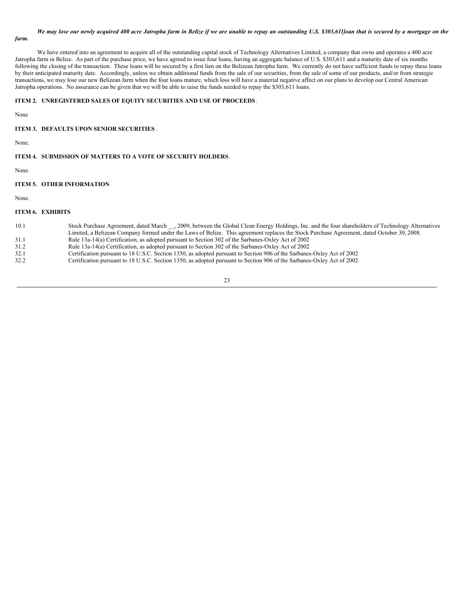### We may lose our newly acquired 400 acre Jatropha farm in Belize if we are unable to repay an outstanding U.S. \$303,611 loan that is secured by a mortgage on the *farm.*

We have entered into an agreement to acquire all of the outstanding capital stock of Technology Alternatives Limited, a company that owns and operates a 400 acre Jatropha farm in Belize. As part of the purchase price, we have agreed to issue four loans, having an aggregate balance of U.S. \$303,611 and a maturity date of six months following the closing of the transaction. These loans will be secured by a first lien on the Belizean Jatropha farm. We currently do not have sufficient funds to repay these loans by their anticipated maturity date. Accordingly, unless we obtain additional funds from the sale of our securities, from the sale of some of our products, and/or from strategic transactions, we may lose our new Belizean farm when the four loans mature, which loss will have a material negative affect on our plans to develop our Central American Jatropha operations. No assurance can be given that we will be able to raise the funds needed to repay the \$303,611 loans.

# **ITEM 2. UNREGISTERED SALES OF EQUITY SECURITIES AND USE OF PROCEEDS**.

None

# **ITEM 3. DEFAULTS UPON SENIOR SECURITIES** .

None.

# **ITEM 4. SUBMISSION OF MATTERS TO A VOTE OF SECURITY HOLDERS** .

None.

# **ITEM 5. OTHER INFORMATION**

None.

# **ITEM 6. EXHIBITS**

| 10.1 | Stock Purchase Agreement, dated March , 2009, between the Global Clean Energy Holdings, Inc. and the four shareholders of Technology Alternatives<br>Limited, a Belizean Company formed under the Laws of Belize. This agreement replaces the Stock Purchase Agreement, dated October 30, 2008. |
|------|-------------------------------------------------------------------------------------------------------------------------------------------------------------------------------------------------------------------------------------------------------------------------------------------------|
| 31.1 | Rule 13a-14(a) Certification, as adopted pursuant to Section 302 of the Sarbanes-Oxley Act of 2002                                                                                                                                                                                              |
| 31.2 | Rule 13a-14(a) Certification, as adopted pursuant to Section 302 of the Sarbanes-Oxley Act of 2002                                                                                                                                                                                              |
| 32.1 | Certification pursuant to 18 U.S.C. Section 1350, as adopted pursuant to Section 906 of the Sarbanes-Oxley Act of 2002                                                                                                                                                                          |
| 32.2 | Certification pursuant to 18 U.S.C. Section 1350, as adopted pursuant to Section 906 of the Sarbanes-Oxley Act of 2002                                                                                                                                                                          |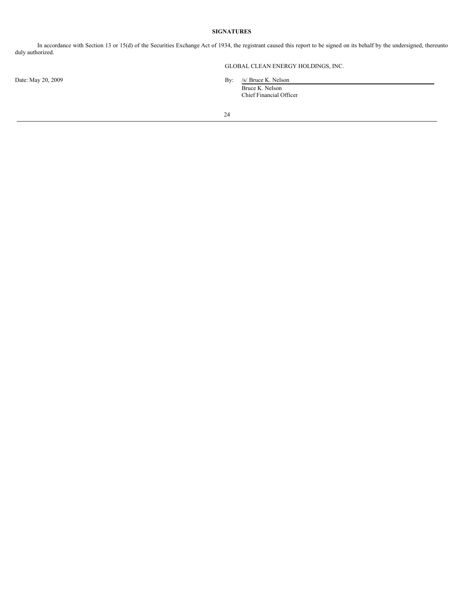# **SIGNATURES**

In accordance with Section 13 or 15(d) of the Securities Exchange Act of 1934, the registrant caused this report to be signed on its behalf by the undersigned, thereunto duly authorized.

GLOBAL CLEAN ENERGY HOLDINGS, INC.

Date: May 20, 2009 By: /s/ Bruce K. Nelson Bruce K. Nelson

Chief Financial Officer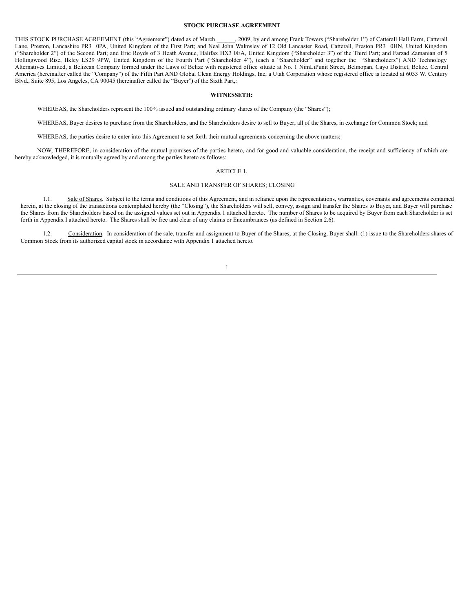### **STOCK PURCHASE AGREEMENT**

THIS STOCK PURCHASE AGREEMENT (this "Agreement") dated as of March \_\_\_\_\_\_, 2009, by and among Frank Towers ("Shareholder 1") of Catterall Hall Farm, Catterall Lane, Preston, Lancashire PR3 0PA, United Kingdom of the First Part; and Neal John Walmsley of 12 Old Lancaster Road, Catterall, Preston PR3 0HN, United Kingdom ("Shareholder 2") of the Second Part; and Eric Royds of 3 Heath Avenue, Halifax HX3 0EA, United Kingdom ("Shareholder 3") of the Third Part; and Farzad Zamanian of 5 Hollingwood Rise, Ilkley LS29 9PW, United Kingdom of the Fourth Part ("Shareholder 4"), (each a "Shareholder" and together the "Shareholders") AND Technology Alternatives Limited, a Belizean Company formed under the Laws of Belize with registered office situate at No. 1 NimLiPunit Street, Belmopan, Cayo District, Belize, Central America (hereinafter called the "Company") of the Fifth Part AND Global Clean Energy Holdings, Inc, a Utah Corporation whose registered office is located at 6033 W. Century Blvd., Suite 895, Los Angeles, CA 90045 (hereinafter called the "Buyer"**)** of the Sixth Part,:

#### **WITNESSETH:**

WHEREAS, the Shareholders represent the 100% issued and outstanding ordinary shares of the Company (the "Shares");

WHEREAS, Buyer desires to purchase from the Shareholders, and the Shareholders desire to sell to Buyer, all of the Shares, in exchange for Common Stock; and

WHEREAS, the parties desire to enter into this Agreement to set forth their mutual agreements concerning the above matters;

NOW, THEREFORE, in consideration of the mutual promises of the parties hereto, and for good and valuable consideration, the receipt and sufficiency of which are hereby acknowledged, it is mutually agreed by and among the parties hereto as follows:

# ARTICLE 1.

### SALE AND TRANSFER OF SHARES; CLOSING

1.1. Sale of Shares. Subject to the terms and conditions of this Agreement, and in reliance upon the representations, warranties, covenants and agreements contained herein, at the closing of the transactions contemplated hereby (the "Closing"), the Shareholders will sell, convey, assign and transfer the Shares to Buyer, and Buyer will purchase the Shares from the Shareholders based on the assigned values set out in Appendix 1 attached hereto. The number of Shares to be acquired by Buyer from each Shareholder is set forth in Appendix I attached hereto. The Shares shall be free and clear of any claims or Encumbrances (as defined in Section 2.6).

1.2. Consideration. In consideration of the sale, transfer and assignment to Buyer of the Shares, at the Closing, Buyer shall: (1) issue to the Shareholders shares of Common Stock from its authorized capital stock in accordance with Appendix 1 attached hereto.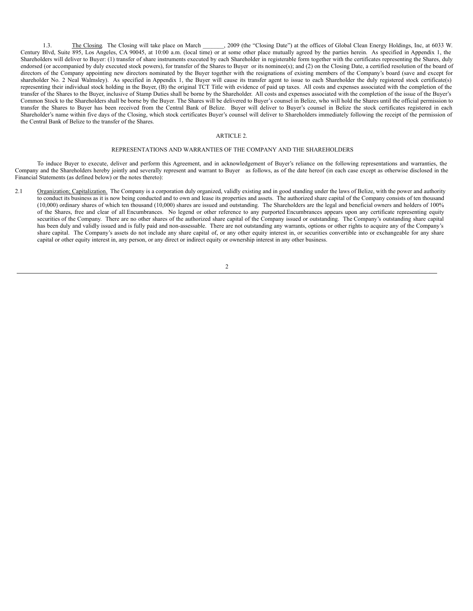1.3. The Closing. The Closing will take place on March \_\_\_\_\_\_, 2009 (the "Closing Date") at the offices of Global Clean Energy Holdings, Inc, at 6033 W. Century Blvd, Suite 895, Los Angeles, CA 90045, at 10:00 a.m. (local time) or at some other place mutually agreed by the parties herein. As specified in Appendix 1, the Shareholders will deliver to Buyer: (1) transfer of share instruments executed by each Shareholder in registerable form together with the certificates representing the Shares, duly endorsed (or accompanied by duly executed stock powers), for transfer of the Shares to Buyer or its nominee(s); and (2) on the Closing Date, a certified resolution of the board of directors of the Company appointing new directors nominated by the Buyer together with the resignations of existing members of the Company's board (save and except for shareholder No. 2 Neal Walmsley). As specified in Appendix 1, the Buyer will cause its transfer agent to issue to each Shareholder the duly registered stock certificate(s) representing their individual stock holding in the Buyer, (B) the original TCT Title with evidence of paid up taxes. All costs and expenses associated with the completion of the transfer of the Shares to the Buyer, inclusive of Stamp Duties shall be borne by the Shareholder. All costs and expenses associated with the completion of the issue of the Buyer's Common Stock to the Shareholders shall be borne by the Buyer. The Shares will be delivered to Buyer's counsel in Belize, who will hold the Shares until the official permission to transfer the Shares to Buyer has been received from the Central Bank of Belize. Buyer will deliver to Buyer's counsel in Belize the stock certificates registered in each Shareholder's name within five days of the Closing, which stock certificates Buyer's counsel will deliver to Shareholders immediately following the receipt of the permission of the Central Bank of Belize to the transfer of the Shares.

# ARTICLE 2.

# REPRESENTATIONS AND WARRANTIES OF THE COMPANY AND THE SHAREHOLDERS

To induce Buyer to execute, deliver and perform this Agreement, and in acknowledgement of Buyer's reliance on the following representations and warranties, the Company and the Shareholders hereby jointly and severally represent and warrant to Buyer as follows, as of the date hereof (in each case except as otherwise disclosed in the Financial Statements (as defined below) or the notes thereto):

2.1 Organization; Capitalization. The Company is a corporation duly organized, validly existing and in good standing under the laws of Belize, with the power and authority to conduct its business as it is now being conducted and to own and lease its properties and assets. The authorized share capital of the Company consists of ten thousand (10,000) ordinary shares of which ten thousand (10,000) shares are issued and outstanding. The Shareholders are the legal and beneficial owners and holders of 100% of the Shares, free and clear of all Encumbrances. No legend or other reference to any purported Encumbrances appears upon any certificate representing equity securities of the Company. There are no other shares of the authorized share capital of the Company issued or outstanding. The Company's outstanding share capital has been duly and validly issued and is fully paid and non-assessable. There are not outstanding any warrants, options or other rights to acquire any of the Company's share capital. The Company's assets do not include any share capital of, or any other equity interest in, or securities convertible into or exchangeable for any share capital or other equity interest in, any person, or any direct or indirect equity or ownership interest in any other business.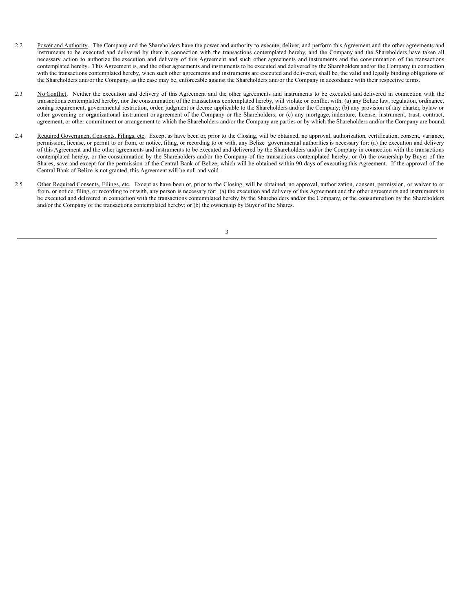- 2.2 Power and Authority. The Company and the Shareholders have the power and authority to execute, deliver, and perform this Agreement and the other agreements and instruments to be executed and delivered by them in connection with the transactions contemplated hereby, and the Company and the Shareholders have taken all necessary action to authorize the execution and delivery of this Agreement and such other agreements and instruments and the consummation of the transactions contemplated hereby. This Agreement is, and the other agreements and instruments to be executed and delivered by the Shareholders and/or the Company in connection with the transactions contemplated hereby, when such other agreements and instruments are executed and delivered, shall be, the valid and legally binding obligations of the Shareholders and/or the Company, as the case may be, enforceable against the Shareholders and/or the Company in accordance with their respective terms.
- 2.3 No Conflict. Neither the execution and delivery of this Agreement and the other agreements and instruments to be executed and delivered in connection with the transactions contemplated hereby, nor the consummation of the transactions contemplated hereby, will violate or conflict with: (a) any Belize law, regulation, ordinance, zoning requirement, governmental restriction, order, judgment or decree applicable to the Shareholders and/or the Company; (b) any provision of any charter, bylaw or other governing or organizational instrument or agreement of the Company or the Shareholders; or (c) any mortgage, indenture, license, instrument, trust, contract, agreement, or other commitment or arrangement to which the Shareholders and/or the Company are parties or by which the Shareholders and/or the Company are bound.
- 2.4 Required Government Consents, Filings, etc. Except as have been or, prior to the Closing, will be obtained, no approval, authorization, certification, consent, variance, permission, license, or permit to or from, or notice, filing, or recording to or with, any Belize governmental authorities is necessary for: (a) the execution and delivery of this Agreement and the other agreements and instruments to be executed and delivered by the Shareholders and/or the Company in connection with the transactions contemplated hereby, or the consummation by the Shareholders and/or the Company of the transactions contemplated hereby; or (b) the ownership by Buyer of the Shares, save and except for the permission of the Central Bank of Belize, which will be obtained within 90 days of executing this Agreement. If the approval of the Central Bank of Belize is not granted, this Agreement will be null and void.
- 2.5 Other Required Consents, Filings, etc. Except as have been or, prior to the Closing, will be obtained, no approval, authorization, consent, permission, or waiver to or from, or notice, filing, or recording to or with, any person is necessary for: (a) the execution and delivery of this Agreement and the other agreements and instruments to be executed and delivered in connection with the transactions contemplated hereby by the Shareholders and/or the Company, or the consummation by the Shareholders and/or the Company of the transactions contemplated hereby; or (b) the ownership by Buyer of the Shares.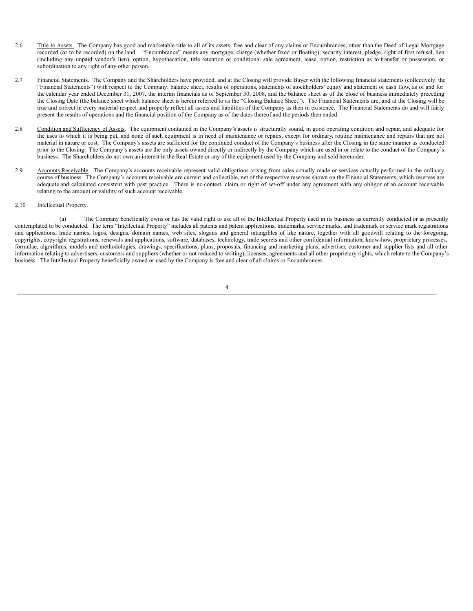- 2.6 Title to Assets. The Company has good and marketable title to all of its assets, free and clear of any claims or Encumbrances, other than the Deed of Legal Mortgage recorded (or to be recorded) on the land. "Encumbrance" means any mortgage, charge (whether fixed or floating), security interest, pledge, right of first refusal, lien (including any unpaid vendor's lien), option, hypothecation, title retention or conditional sale agreement, lease, option, restriction as to transfer or possession, or subordination to any right of any other person.
- 2.7 Financial Statements. The Company and the Shareholders have provided, and at the Closing will provide Buyer with the following financial statements (collectively, the "Financial Statements") with respect to the Company: balance sheet, results of operations, statements of stockholders' equity and statement of cash flow, as of and for the calendar year ended December 31, 2007, the interim financials as of September 30, 2008, and the balance sheet as of the close of business immediately preceding the Closing Date (the balance sheet which balance sheet is herein referred to as the "Closing Balance Sheet"). The Financial Statements are, and at the Closing will be true and correct in every material respect and properly reflect all assets and liabilities of the Company as then in existence. The Financial Statements do and will fairly present the results of operations and the financial position of the Company as of the dates thereof and the periods then ended.
- 2.8 Condition and Sufficiency of Assets. The equipment contained in the Company's assets is structurally sound, in good operating condition and repair, and adequate for the uses to which it is being put, and none of such equipment is in need of maintenance or repairs, except for ordinary, routine maintenance and repairs that are not material in nature or cost. The Company's assets are sufficient for the continued conduct of the Company's business after the Closing in the same manner as conducted prior to the Closing. The Company's assets are the only assets owned directly or indirectly by the Company which are used in or relate to the conduct of the Company's business. The Shareholders do not own an interest in the Real Estate or any of the equipment used by the Company and sold hereunder.
- 2.9 Accounts Receivable. The Company's accounts receivable represent valid obligations arising from sales actually made or services actually performed in the ordinary course of business. The Company's accounts receivable are current and collectible, net of the respective reserves shown on the Financial Statements, which reserves are adequate and calculated consistent with past practice. There is no contest, claim or right of set-off under any agreement with any obligor of an account receivable relating to the amount or validity of such account receivable.

### 2.10 Intellectual Property.

(a) The Company beneficially owns or has the valid right to use all of the Intellectual Property used in its business as currently conducted or as presently contemplated to be conducted. The term "Intellectual Property" includes all patents and patent applications, trademarks, service marks, and trademark or service mark registrations and applications, trade names, logos, designs, domain names, web sites, slogans and general intangibles of like nature, together with all goodwill relating to the foregoing, copyrights, copyright registrations, renewals and applications, software, databases, technology, trade secrets and other confidential information, know-how, proprietary processes, formulae, algorithms, models and methodologies, drawings, specifications, plans, proposals, financing and marketing plans, advertiser, customer and supplier lists and all other information relating to advertisers, customers and suppliers (whether or not reduced to writing), licenses, agreements and all other proprietary rights, which relate to the Company's business. The Intellectual Property beneficially owned or used by the Company is free and clear of all claims or Encumbrances.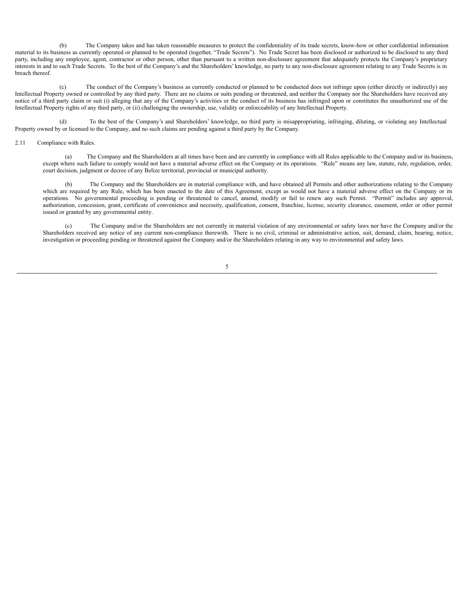(b) The Company takes and has taken reasonable measures to protect the confidentiality of its trade secrets, know-how or other confidential information material to its business as currently operated or planned to be operated (together, "Trade Secrets"). No Trade Secret has been disclosed or authorized to be disclosed to any third party, including any employee, agent, contractor or other person, other than pursuant to a written non-disclosure agreement that adequately protects the Company's proprietary interests in and to such Trade Secrets. To the best of the Company's and the Shareholders' knowledge, no party to any non-disclosure agreement relating to any Trade Secrets is in breach thereof.

(c) The conduct of the Company's business as currently conducted or planned to be conducted does not infringe upon (either directly or indirectly) any Intellectual Property owned or controlled by any third party. There are no claims or suits pending or threatened, and neither the Company nor the Shareholders have received any notice of a third party claim or suit (i) alleging that any of the Company's activities or the conduct of its business has infringed upon or constitutes the unauthorized use of the Intellectual Property rights of any third party, or (ii) challenging the ownership, use, validity or enforceability of any Intellectual Property.

(d) To the best of the Company's and Shareholders' knowledge, no third party is misappropriating, infringing, diluting, or violating any Intellectual Property owned by or licensed to the Company, and no such claims are pending against a third party by the Company.

### 2.11 Compliance with Rules.

(a) The Company and the Shareholders at all times have been and are currently in compliance with all Rules applicable to the Company and/or its business, except where such failure to comply would not have a material adverse effect on the Company or its operations. "Rule" means any law, statute, rule, regulation, order, court decision, judgment or decree of any Belize territorial, provincial or municipal authority.

(b) The Company and the Shareholders are in material compliance with, and have obtained all Permits and other authorizations relating to the Company which are required by any Rule, which has been enacted to the date of this Agreement, except as would not have a material adverse effect on the Company or its operations. No governmental proceeding is pending or threatened to cancel, amend, modify or fail to renew any such Permit. "Permit" includes any approval, authorization, concession, grant, certificate of convenience and necessity, qualification, consent, franchise, license, security clearance, easement, order or other permit issued or granted by any governmental entity.

(c) The Company and/or the Shareholders are not currently in material violation of any environmental or safety laws nor have the Company and/or the Shareholders received any notice of any current non-compliance therewith. There is no civil, criminal or administrative action, suit, demand, claim, hearing, notice, investigation or proceeding pending or threatened against the Company and/or the Shareholders relating in any way to environmental and safety laws.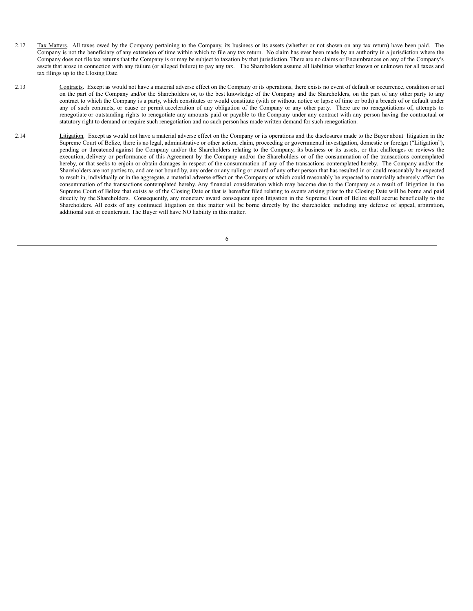- 2.12 Tax Matters. All taxes owed by the Company pertaining to the Company, its business or its assets (whether or not shown on any tax return) have been paid. The Company is not the beneficiary of any extension of time within which to file any tax return. No claim has ever been made by an authority in a jurisdiction where the Company does not file tax returns that the Company is or may be subject to taxation by that jurisdiction. There are no claims or Encumbrances on any of the Company's assets that arose in connection with any failure (or alleged failure) to pay any tax. The Shareholders assume all liabilities whether known or unknown for all taxes and tax filings up to the Closing Date.
- 2.13 Contracts. Except as would not have a material adverse effect on the Company or its operations, there exists no event of default or occurrence, condition or act on the part of the Company and/or the Shareholders or, to the best knowledge of the Company and the Shareholders, on the part of any other party to any contract to which the Company is a party, which constitutes or would constitute (with or without notice or lapse of time or both) a breach of or default under any of such contracts, or cause or permit acceleration of any obligation of the Company or any other party. There are no renegotiations of, attempts to renegotiate or outstanding rights to renegotiate any amounts paid or payable to the Company under any contract with any person having the contractual or statutory right to demand or require such renegotiation and no such person has made written demand for such renegotiation.
- 2.14 Litigation. Except as would not have a material adverse effect on the Company or its operations and the disclosures made to the Buyer about litigation in the Supreme Court of Belize, there is no legal, administrative or other action, claim, proceeding or governmental investigation, domestic or foreign ("Litigation"), pending or threatened against the Company and/or the Shareholders relating to the Company, its business or its assets, or that challenges or reviews the execution, delivery or performance of this Agreement by the Company and/or the Shareholders or of the consummation of the transactions contemplated hereby, or that seeks to enjoin or obtain damages in respect of the consummation of any of the transactions contemplated hereby. The Company and/or the Shareholders are not parties to, and are not bound by, any order or any ruling or award of any other person that has resulted in or could reasonably be expected to result in, individually or in the aggregate, a material adverse effect on the Company or which could reasonably be expected to materially adversely affect the consummation of the transactions contemplated hereby. Any financial consideration which may become due to the Company as a result of litigation in the Supreme Court of Belize that exists as of the Closing Date or that is hereafter filed relating to events arising prior to the Closing Date will be borne and paid directly by the Shareholders. Consequently, any monetary award consequent upon litigation in the Supreme Court of Belize shall accrue beneficially to the Shareholders. All costs of any continued litigation on this matter will be borne directly by the shareholder, including any defense of appeal, arbitration, additional suit or countersuit. The Buyer will have NO liability in this matter.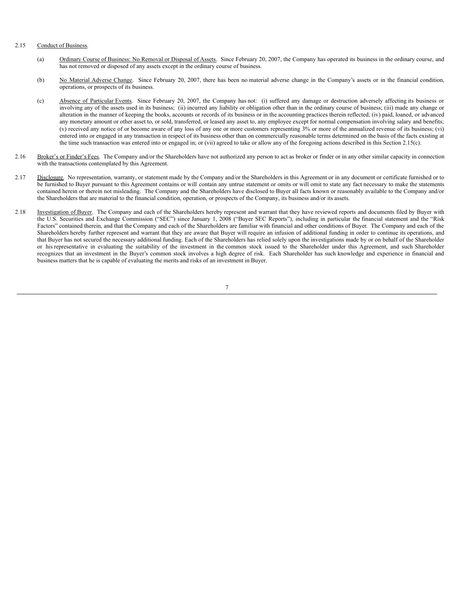# 2.15 Conduct of Business.

- (a) Ordinary Course of Business: No Removal or Disposal of Assets. Since February 20, 2007, the Company has operated its business in the ordinary course, and has not removed or disposed of any assets except in the ordinary course of business.
- (b) No Material Adverse Change. Since February 20, 2007, there has been no material adverse change in the Company's assets or in the financial condition, operations, or prospects of its business.
- (c) Absence of Particular Events. Since February 20, 2007, the Company has not: (i) suffered any damage or destruction adversely affecting its business or involving any of the assets used in its business; (ii) incurred any liability or obligation other than in the ordinary course of business; (iii) made any change or alteration in the manner of keeping the books, accounts or records of its business or in the accounting practices therein reflected; (iv) paid, loaned, or advanced any monetary amount or other asset to, or sold, transferred, or leased any asset to, any employee except for normal compensation involving salary and benefits; (v) received any notice of or become aware of any loss of any one or more customers representing 3% or more of the annualized revenue of its business; (vi) entered into or engaged in any transaction in respect of its business other than on commercially reasonable terms determined on the basis of the facts existing at the time such transaction was entered into or engaged in; or (vii) agreed to take or allow any of the foregoing actions described in this Section 2.15(c).
- 2.16 Broker's or Finder's Fees. The Company and/or the Shareholders have not authorized any person to act as broker or finder or in any other similar capacity in connection with the transactions contemplated by this Agreement.
- 2.17 Disclosure. No representation, warranty, or statement made by the Company and/or the Shareholders in this Agreement or in any document or certificate furnished or to be furnished to Buyer pursuant to this Agreement contains or will contain any untrue statement or omits or will omit to state any fact necessary to make the statements contained herein or therein not misleading. The Company and the Shareholders have disclosed to Buyer all facts known or reasonably available to the Company and/or the Shareholders that are material to the financial condition, operation, or prospects of the Company, its business and/or its assets.
- 2.18 Investigation of Buyer. The Company and each of the Shareholders hereby represent and warrant that they have reviewed reports and documents filed by Buyer with the U.S. Securities and Exchange Commission ("SEC") since January 1, 2008 ("Buyer SEC Reports"), including in particular the financial statement and the "Risk Factors" contained therein, and that the Company and each of the Shareholders are familiar with financial and other conditions of Buyer. The Company and each of the Shareholders hereby further represent and warrant that they are aware that Buyer will require an infusion of additional funding in order to continue its operations, and that Buyer has not secured the necessary additional funding. Each of the Shareholders has relied solely upon the investigations made by or on behalf of the Shareholder or his representative in evaluating the suitability of the investment in the common stock issued to the Shareholder under this Agreement, and such Shareholder recognizes that an investment in the Buyer's common stock involves a high degree of risk. Each Shareholder has such knowledge and experience in financial and business matters that he is capable of evaluating the merits and risks of an investment in Buyer.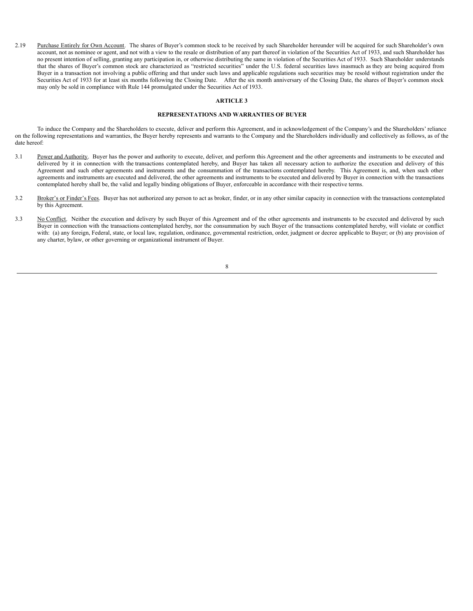2.19 Purchase Entirely for Own Account. The shares of Buyer's common stock to be received by such Shareholder hereunder will be acquired for such Shareholder's own account, not as nominee or agent, and not with a view to the resale or distribution of any part thereof in violation of the Securities Act of 1933, and such Shareholder has no present intention of selling, granting any participation in, or otherwise distributing the same in violation of the Securities Act of 1933. Such Shareholder understands that the shares of Buyer's common stock are characterized as "restricted securities" under the U.S. federal securities laws inasmuch as they are being acquired from Buyer in a transaction not involving a public offering and that under such laws and applicable regulations such securities may be resold without registration under the Securities Act of 1933 for at least six months following the Closing Date. After the six month anniversary of the Closing Date, the shares of Buyer's common stock may only be sold in compliance with Rule 144 promulgated under the Securities Act of 1933.

## **ARTICLE 3**

# **REPRESENTATIONS AND WARRANTIES OF BUYER**

To induce the Company and the Shareholders to execute, deliver and perform this Agreement, and in acknowledgement of the Company's and the Shareholders' reliance on the following representations and warranties, the Buyer hereby represents and warrants to the Company and the Shareholders individually and collectively as follows, as of the date hereof:

- 3.1 Power and Authority. Buyer has the power and authority to execute, deliver, and perform this Agreement and the other agreements and instruments to be executed and delivered by it in connection with the transactions contemplated hereby, and Buyer has taken all necessary action to authorize the execution and delivery of this Agreement and such other agreements and instruments and the consummation of the transactions contemplated hereby. This Agreement is, and, when such other agreements and instruments are executed and delivered, the other agreements and instruments to be executed and delivered by Buyer in connection with the transactions contemplated hereby shall be, the valid and legally binding obligations of Buyer, enforceable in accordance with their respective terms.
- 3.2 Broker's or Finder's Fees. Buyer has not authorized any person to act as broker, finder, or in any other similar capacity in connection with the transactions contemplated by this Agreement.
- 3.3 No Conflict. Neither the execution and delivery by such Buyer of this Agreement and of the other agreements and instruments to be executed and delivered by such Buyer in connection with the transactions contemplated hereby, nor the consummation by such Buyer of the transactions contemplated hereby, will violate or conflict with: (a) any foreign, Federal, state, or local law, regulation, ordinance, governmental restriction, order, judgment or decree applicable to Buyer; or (b) any provision of any charter, bylaw, or other governing or organizational instrument of Buyer.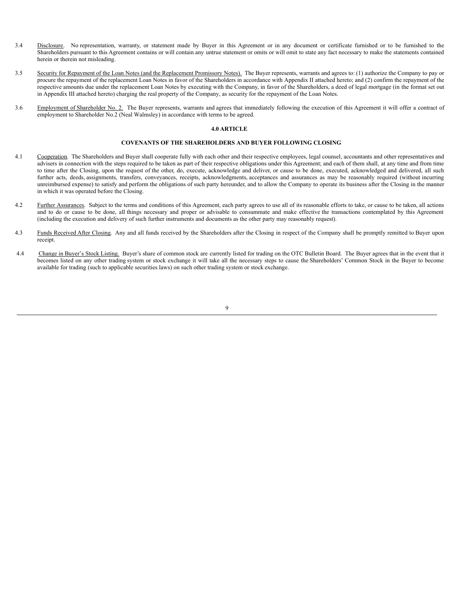- 3.4 Disclosure. No representation, warranty, or statement made by Buyer in this Agreement or in any document or certificate furnished or to be furnished to the Shareholders pursuant to this Agreement contains or will contain any untrue statement or omits or will omit to state any fact necessary to make the statements contained herein or therein not misleading.
- 3.5 Security for Repayment of the Loan Notes (and the Replacement Promissory Notes). The Buyer represents, warrants and agrees to: (1) authorize the Company to pay or procure the repayment of the replacement Loan Notes in favor of the Shareholders in accordance with Appendix II attached hereto; and (2) confirm the repayment of the respective amounts due under the replacement Loan Notes by executing with the Company, in favor of the Shareholders, a deed of legal mortgage (in the format set out in Appendix III attached hereto) charging the real property of the Company, as security for the repayment of the Loan Notes.
- 3.6 Employment of Shareholder No. 2. The Buyer represents, warrants and agrees that immediately following the execution of this Agreement it will offer a contract of employment to Shareholder No.2 (Neal Walmsley) in accordance with terms to be agreed.

# **4.0 ARTICLE**

## **COVENANTS OF THE SHAREHOLDERS AND BUYER FOLLOWING CLOSING**

- 4.1 Cooperation. The Shareholders and Buyer shall cooperate fully with each other and their respective employees, legal counsel, accountants and other representatives and advisers in connection with the steps required to be taken as part of their respective obligations under this Agreement; and each of them shall, at any time and from time to time after the Closing, upon the request of the other, do, execute, acknowledge and deliver, or cause to be done, executed, acknowledged and delivered, all such further acts, deeds, assignments, transfers, conveyances, receipts, acknowledgments, acceptances and assurances as may be reasonably required (without incurring unreimbursed expense) to satisfy and perform the obligations of such party hereunder, and to allow the Company to operate its business after the Closing in the manner in which it was operated before the Closing.
- 4.2 Further Assurances. Subject to the terms and conditions of this Agreement, each party agrees to use all of its reasonable efforts to take, or cause to be taken, all actions and to do or cause to be done, all things necessary and proper or advisable to consummate and make effective the transactions contemplated by this Agreement (including the execution and delivery of such further instruments and documents as the other party may reasonably request).
- 4.3 Funds Received After Closing. Any and all funds received by the Shareholders after the Closing in respect of the Company shall be promptly remitted to Buyer upon receipt.
- 4.4 Change in Buyer's Stock Listing. Buyer's share of common stock are currently listed for trading on the OTC Bulletin Board. The Buyer agrees that in the event that it becomes listed on any other trading system or stock exchange it will take all the necessary steps to cause the Shareholders' Common Stock in the Buyer to become available for trading (such to applicable securities laws) on such other trading system or stock exchange.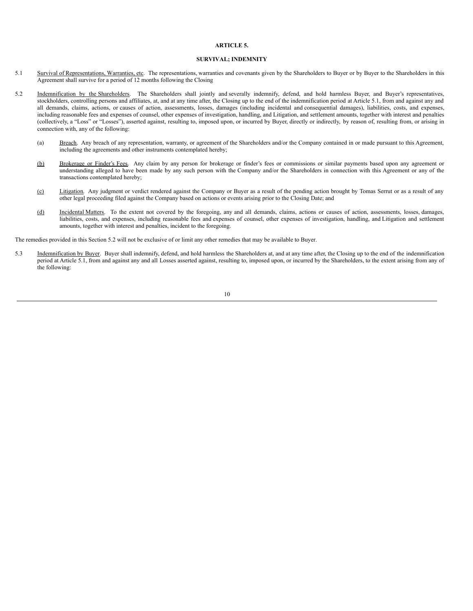# **ARTICLE 5.**

# **SURVIVAL; INDEMNITY**

- 5.1 Survival of Representations, Warranties, etc. The representations, warranties and covenants given by the Shareholders to Buyer or by Buyer to the Shareholders in this Agreement shall survive for a period of 12 months following the Closing
- 5.2 Indemnification by the Shareholders. The Shareholders shall jointly and severally indemnify, defend, and hold harmless Buyer, and Buyer's representatives, stockholders, controlling persons and affiliates, at, and at any time after, the Closing up to the end of the indemnification period at Article 5.1, from and against any and all demands, claims, actions, or causes of action, assessments, losses, damages (including incidental and consequential damages), liabilities, costs, and expenses, including reasonable fees and expenses of counsel, other expenses of investigation, handling, and Litigation, and settlement amounts, together with interest and penalties (collectively, a "Loss" or "Losses"), asserted against, resulting to, imposed upon, or incurred by Buyer, directly or indirectly, by reason of, resulting from, or arising in connection with, any of the following:
	- (a) Breach. Any breach of any representation, warranty, or agreement of the Shareholders and/or the Company contained in or made pursuant to this Agreement, including the agreements and other instruments contemplated hereby;
	- (b) Brokerage or Finder's Fees. Any claim by any person for brokerage or finder's fees or commissions or similar payments based upon any agreement or understanding alleged to have been made by any such person with the Company and/or the Shareholders in connection with this Agreement or any of the transactions contemplated hereby;
	- (c) Litigation. Any judgment or verdict rendered against the Company or Buyer as a result of the pending action brought by Tomas Serrut or as a result of any other legal proceeding filed against the Company based on actions or events arising prior to the Closing Date; and
	- (d) Incidental Matters. To the extent not covered by the foregoing, any and all demands, claims, actions or causes of action, assessments, losses, damages, liabilities, costs, and expenses, including reasonable fees and expenses of counsel, other expenses of investigation, handling, and Litigation and settlement amounts, together with interest and penalties, incident to the foregoing.

The remedies provided in this Section 5.2 will not be exclusive of or limit any other remedies that may be available to Buyer.

5.3 Indemnification by Buyer. Buyer shall indemnify, defend, and hold harmless the Shareholders at, and at any time after, the Closing up to the end of the indemnification period at Article 5.1, from and against any and all Losses asserted against, resulting to, imposed upon, or incurred by the Shareholders, to the extent arising from any of the following: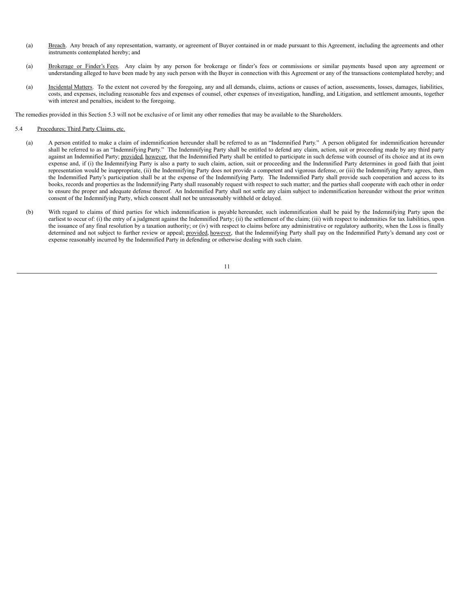- (a) Breach. Any breach of any representation, warranty, or agreement of Buyer contained in or made pursuant to this Agreement, including the agreements and other instruments contemplated hereby; and
- (a) Brokerage or Finder's Fees. Any claim by any person for brokerage or finder's fees or commissions or similar payments based upon any agreement or understanding alleged to have been made by any such person with the Buyer in connection with this Agreement or any of the transactions contemplated hereby; and
- (a) Incidental Matters. To the extent not covered by the foregoing, any and all demands, claims, actions or causes of action, assessments, losses, damages, liabilities, costs, and expenses, including reasonable fees and expenses of counsel, other expenses of investigation, handling, and Litigation, and settlement amounts, together with interest and penalties, incident to the foregoing.

The remedies provided in this Section 5.3 will not be exclusive of or limit any other remedies that may be available to the Shareholders.

# 5.4 Procedures; Third Party Claims, etc.

- (a) A person entitled to make a claim of indemnification hereunder shall be referred to as an "Indemnified Party." A person obligated for indemnification hereunder shall be referred to as an "Indemnifying Party." The Indemnifying Party shall be entitled to defend any claim, action, suit or proceeding made by any third party against an Indemnified Party; provided, however, that the Indemnified Party shall be entitled to participate in such defense with counsel of its choice and at its own expense and, if (i) the Indemnifying Party is also a party to such claim, action, suit or proceeding and the Indemnified Party determines in good faith that joint representation would be inappropriate, (ii) the Indemnifying Party does not provide a competent and vigorous defense, or (iii) the Indemnifying Party agrees, then the Indemnified Party's participation shall be at the expense of the Indemnifying Party. The Indemnified Party shall provide such cooperation and access to its books, records and properties as the Indemnifying Party shall reasonably request with respect to such matter; and the parties shall cooperate with each other in order to ensure the proper and adequate defense thereof. An Indemnified Party shall not settle any claim subject to indemnification hereunder without the prior written consent of the Indemnifying Party, which consent shall not be unreasonably withheld or delayed.
- (b) With regard to claims of third parties for which indemnification is payable hereunder, such indemnification shall be paid by the Indemnifying Party upon the earliest to occur of: (i) the entry of a judgment against the Indemnified Party; (ii) the settlement of the claim; (iii) with respect to indemnities for tax liabilities, upon the issuance of any final resolution by a taxation authority; or (iv) with respect to claims before any administrative or regulatory authority, when the Loss is finally determined and not subject to further review or appeal; provided, however, that the Indemnifying Party shall pay on the Indemnified Party's demand any cost or expense reasonably incurred by the Indemnified Party in defending or otherwise dealing with such claim.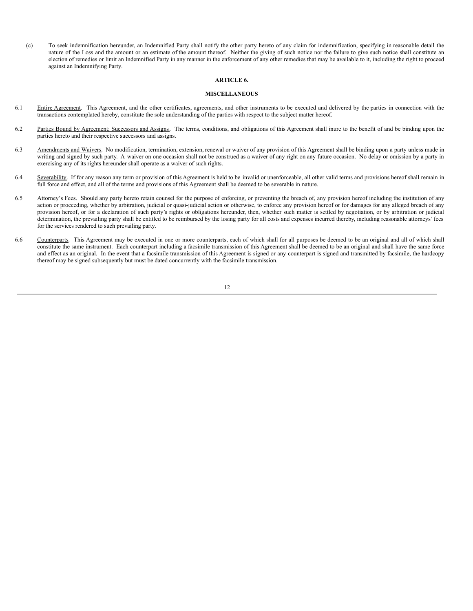(c) To seek indemnification hereunder, an Indemnified Party shall notify the other party hereto of any claim for indemnification, specifying in reasonable detail the nature of the Loss and the amount or an estimate of the amount thereof. Neither the giving of such notice nor the failure to give such notice shall constitute an election of remedies or limit an Indemnified Party in any manner in the enforcement of any other remedies that may be available to it, including the right to proceed against an Indemnifying Party.

# **ARTICLE 6.**

# **MISCELLANEOUS**

- 6.1 Entire Agreement. This Agreement, and the other certificates, agreements, and other instruments to be executed and delivered by the parties in connection with the transactions contemplated hereby, constitute the sole understanding of the parties with respect to the subject matter hereof.
- 6.2 Parties Bound by Agreement; Successors and Assigns. The terms, conditions, and obligations of this Agreement shall inure to the benefit of and be binding upon the parties hereto and their respective successors and assigns.
- 6.3 Amendments and Waivers. No modification, termination, extension, renewal or waiver of any provision of this Agreement shall be binding upon a party unless made in writing and signed by such party. A waiver on one occasion shall not be construed as a waiver of any right on any future occasion. No delay or omission by a party in exercising any of its rights hereunder shall operate as a waiver of such rights.
- 6.4 Severability. If for any reason any term or provision of this Agreement is held to be invalid or unenforceable, all other valid terms and provisions hereof shall remain in full force and effect, and all of the terms and provisions of this Agreement shall be deemed to be severable in nature.
- 6.5 Attorney's Fees. Should any party hereto retain counsel for the purpose of enforcing, or preventing the breach of, any provision hereof including the institution of any action or proceeding, whether by arbitration, judicial or quasi-judicial action or otherwise, to enforce any provision hereof or for damages for any alleged breach of any provision hereof, or for a declaration of such party's rights or obligations hereunder, then, whether such matter is settled by negotiation, or by arbitration or judicial determination, the prevailing party shall be entitled to be reimbursed by the losing party for all costs and expenses incurred thereby, including reasonable attorneys' fees for the services rendered to such prevailing party.
- 6.6 Counterparts. This Agreement may be executed in one or more counterparts, each of which shall for all purposes be deemed to be an original and all of which shall constitute the same instrument. Each counterpart including a facsimile transmission of this Agreement shall be deemed to be an original and shall have the same force and effect as an original. In the event that a facsimile transmission of this Agreement is signed or any counterpart is signed and transmitted by facsimile, the hardcopy thereof may be signed subsequently but must be dated concurrently with the facsimile transmission.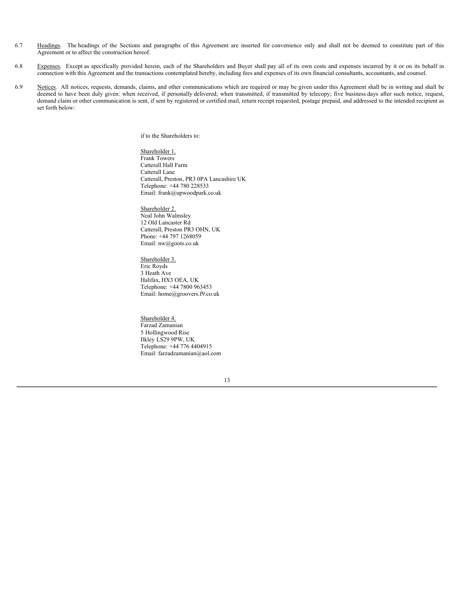- 6.7 Headings. The headings of the Sections and paragraphs of this Agreement are inserted for convenience only and shall not be deemed to constitute part of this Agreement or to affect the construction hereof.
- 6.8 Expenses. Except as specifically provided herein, each of the Shareholders and Buyer shall pay all of its own costs and expenses incurred by it or on its behalf in connection with this Agreement and the transactions contemplated hereby, including fees and expenses of its own financial consultants, accountants, and counsel.
- 6.9 Notices. All notices, requests, demands, claims, and other communications which are required or may be given under this Agreement shall be in writing and shall be deemed to have been duly given: when received, if personally delivered; when transmitted, if transmitted by telecopy; five business days after such notice, request, demand claim or other communication is sent, if sent by registered or certified mail, return receipt requested, postage prepaid, and addressed to the intended recipient as set forth below:

if to the Shareholders to:

Shareholder 1. Frank Towers Catterall Hall Farm Catterall Lane Catterall, Preston, PR3 0PA Lancashire UK Telephone: +44 780 228533 Email: frank@upwoodpark.co.uk

Shareholder 2. Neal John Walmsley 12 Old Lancaster Rd Catterall, Preston PR3 OHN, UK Phone: +44 797 1268059 Email: nw@goots.co.uk

Shareholder 3. Eric Royds 3 Heath Ave Halifax, HX3 OEA, UK Telephone: +44 7800 963453 Email: home@groovers.f9.co.uk

Shareholder 4. Farzad Zamanian 5 Hollingwood Rise Ilkley LS29 9PW, UK Telephone: +44 776 4404915 Email: farzadzamanian@aol.com

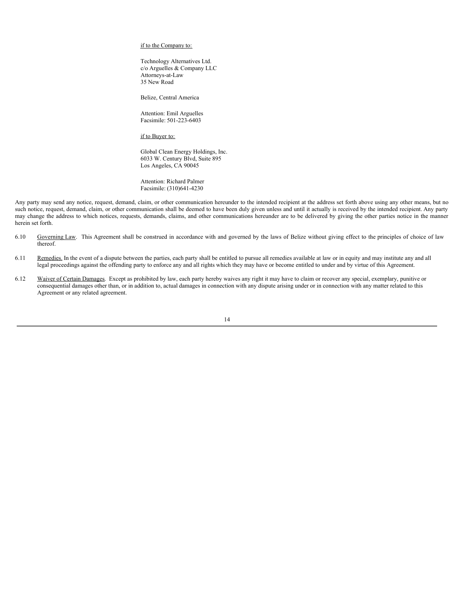if to the Company to:

Technology Alternatives Ltd. c/o Arguelles & Company LLC Attorneys-at-Law 35 New Road

Belize, Central America

Attention: Emil Arguelles Facsimile: 501-223-6403

if to Buyer to:

Global Clean Energy Holdings, Inc. 6033 W. Century Blvd, Suite 895 Los Angeles, CA 90045

Attention: Richard Palmer Facsimile: (310)641-4230

Any party may send any notice, request, demand, claim, or other communication hereunder to the intended recipient at the address set forth above using any other means, but no such notice, request, demand, claim, or other communication shall be deemed to have been duly given unless and until it actually is received by the intended recipient. Any party may change the address to which notices, requests, demands, claims, and other communications hereunder are to be delivered by giving the other parties notice in the manner herein set forth.

- 6.10 Governing Law. This Agreement shall be construed in accordance with and governed by the laws of Belize without giving effect to the principles of choice of law thereof.
- 6.11 Remedies. In the event of a dispute between the parties, each party shall be entitled to pursue all remedies available at law or in equity and may institute any and all legal proceedings against the offending party to enforce any and all rights which they may have or become entitled to under and by virtue of this Agreement.
- 6.12 Waiver of Certain Damages. Except as prohibited by law, each party hereby waives any right it may have to claim or recover any special, exemplary, punitive or consequential damages other than, or in addition to, actual damages in connection with any dispute arising under or in connection with any matter related to this Agreement or any related agreement.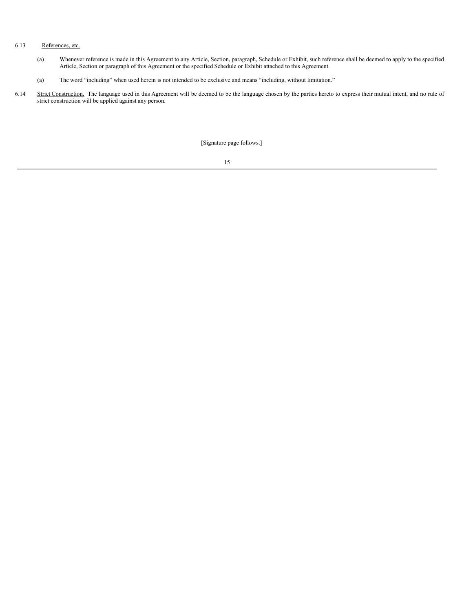# 6.13 References, etc.

- (a) Whenever reference is made in this Agreement to any Article, Section, paragraph, Schedule or Exhibit, such reference shall be deemed to apply to the specified Article, Section or paragraph of this Agreement or the specified Schedule or Exhibit attached to this Agreement.
- (a) The word "including" when used herein is not intended to be exclusive and means "including, without limitation."
- 6.14 Strict Construction. The language used in this Agreement will be deemed to be the language chosen by the parties hereto to express their mutual intent, and no rule of strict construction will be applied against any person.

[Signature page follows.]

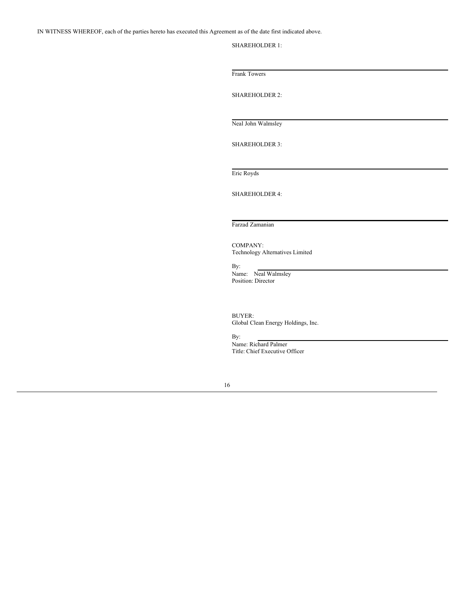IN WITNESS WHEREOF, each of the parties hereto has executed this Agreement as of the date first indicated above.

SHAREHOLDER 1:

Frank Towers SHAREHOLDER 2: Neal John Walmsley SHAREHOLDER 3: Eric Royds SHAREHOLDER 4: Farzad Zamanian COMPANY: Technology Alternatives Limited By: Name: Neal Walmsley Position: Director

> BUYER: Global Clean Energy Holdings, Inc.

By:

Name: Richard Palmer Title: Chief Executive Officer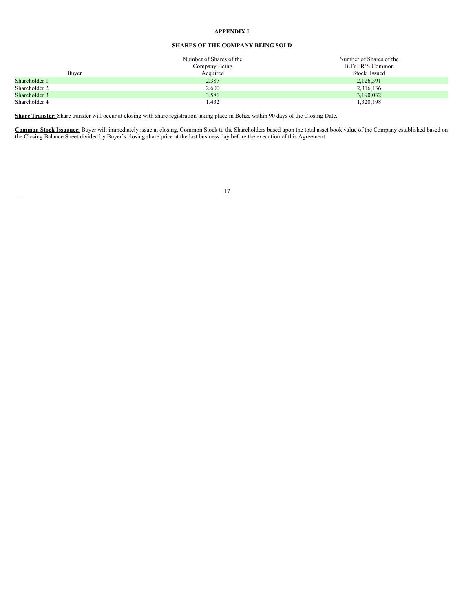# **APPENDIX I**

# **SHARES OF THE COMPANY BEING SOLD**

|               | Number of Shares of the | Number of Shares of the |
|---------------|-------------------------|-------------------------|
|               | Company Being           | BUYER'S Common          |
| Buver         | Acquired                | Stock Issued            |
| Shareholder 1 | 2,387                   | 2,126,391               |
| Shareholder 2 | 2,600                   | 2,316,136               |
| Shareholder 3 | 3,581                   | 3,190,032               |
| Shareholder 4 | 1,432                   | 1,320,198               |

**Share Transfer:** Share transfer will occur at closing with share registration taking place in Belize within 90 days of the Closing Date.

**Common Stock Issuance**: Buyer will immediately issue at closing, Common Stock to the Shareholders based upon the total asset book value of the Company established based on the Closing Balance Sheet divided by Buyer's closing share price at the last business day before the execution of this Agreement.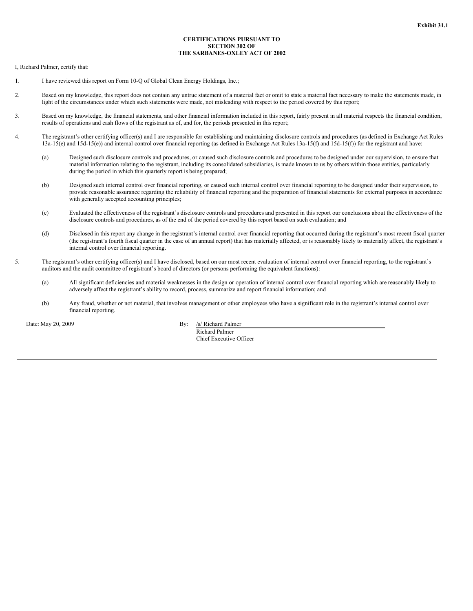### **CERTIFICATIONS PURSUANT TO SECTION 302 OF THE SARBANES-OXLEY ACT OF 2002**

I, Richard Palmer, certify that:

- 1. I have reviewed this report on Form 10-Q of Global Clean Energy Holdings, Inc.;
- 2. Based on my knowledge, this report does not contain any untrue statement of a material fact or omit to state a material fact necessary to make the statements made, in light of the circumstances under which such statements were made, not misleading with respect to the period covered by this report;
- 3. Based on my knowledge, the financial statements, and other financial information included in this report, fairly present in all material respects the financial condition, results of operations and cash flows of the registrant as of, and for, the periods presented in this report;
- 4. The registrant's other certifying officer(s) and I are responsible for establishing and maintaining disclosure controls and procedures (as defined in Exchange Act Rules 13a-15(e) and 15d-15(e)) and internal control over financial reporting (as defined in Exchange Act Rules 13a-15(f) and 15d-15(f)) for the registrant and have:
	- (a) Designed such disclosure controls and procedures, or caused such disclosure controls and procedures to be designed under our supervision, to ensure that material information relating to the registrant, including its consolidated subsidiaries, is made known to us by others within those entities, particularly during the period in which this quarterly report is being prepared;
	- (b) Designed such internal control over financial reporting, or caused such internal control over financial reporting to be designed under their supervision, to provide reasonable assurance regarding the reliability of financial reporting and the preparation of financial statements for external purposes in accordance with generally accepted accounting principles;
	- (c) Evaluated the effectiveness of the registrant's disclosure controls and procedures and presented in this report our conclusions about the effectiveness of the disclosure controls and procedures, as of the end of the period covered by this report based on such evaluation; and
	- (d) Disclosed in this report any change in the registrant's internal control over financial reporting that occurred during the registrant's most recent fiscal quarter (the registrant's fourth fiscal quarter in the case of an annual report) that has materially affected, or is reasonably likely to materially affect, the registrant's internal control over financial reporting.
- 5. The registrant's other certifying officer(s) and I have disclosed, based on our most recent evaluation of internal control over financial reporting, to the registrant's auditors and the audit committee of registrant's board of directors (or persons performing the equivalent functions):
	- (a) All significant deficiencies and material weaknesses in the design or operation of internal control over financial reporting which are reasonably likely to adversely affect the registrant's ability to record, process, summarize and report financial information; and
	- (b) Any fraud, whether or not material, that involves management or other employees who have a significant role in the registrant's internal control over financial reporting.

Date: May 20, 2009 By: /s/ Richard Palmer

Richard Palmer Chief Executive Officer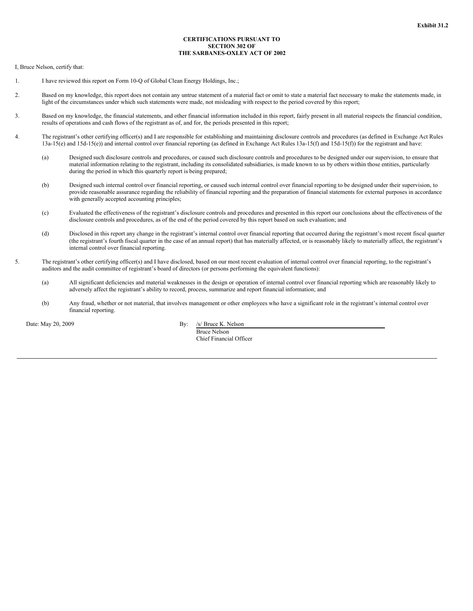### **CERTIFICATIONS PURSUANT TO SECTION 302 OF THE SARBANES-OXLEY ACT OF 2002**

I, Bruce Nelson, certify that:

- 1. I have reviewed this report on Form 10-Q of Global Clean Energy Holdings, Inc.;
- 2. Based on my knowledge, this report does not contain any untrue statement of a material fact or omit to state a material fact necessary to make the statements made, in light of the circumstances under which such statements were made, not misleading with respect to the period covered by this report;
- 3. Based on my knowledge, the financial statements, and other financial information included in this report, fairly present in all material respects the financial condition, results of operations and cash flows of the registrant as of, and for, the periods presented in this report;
- 4. The registrant's other certifying officer(s) and I are responsible for establishing and maintaining disclosure controls and procedures (as defined in Exchange Act Rules 13a-15(e) and 15d-15(e)) and internal control over financial reporting (as defined in Exchange Act Rules 13a-15(f) and 15d-15(f)) for the registrant and have:
	- (a) Designed such disclosure controls and procedures, or caused such disclosure controls and procedures to be designed under our supervision, to ensure that material information relating to the registrant, including its consolidated subsidiaries, is made known to us by others within those entities, particularly during the period in which this quarterly report is being prepared;
	- (b) Designed such internal control over financial reporting, or caused such internal control over financial reporting to be designed under their supervision, to provide reasonable assurance regarding the reliability of financial reporting and the preparation of financial statements for external purposes in accordance with generally accepted accounting principles;
	- (c) Evaluated the effectiveness of the registrant's disclosure controls and procedures and presented in this report our conclusions about the effectiveness of the disclosure controls and procedures, as of the end of the period covered by this report based on such evaluation; and
	- (d) Disclosed in this report any change in the registrant's internal control over financial reporting that occurred during the registrant's most recent fiscal quarter (the registrant's fourth fiscal quarter in the case of an annual report) that has materially affected, or is reasonably likely to materially affect, the registrant's internal control over financial reporting.
- 5. The registrant's other certifying officer(s) and I have disclosed, based on our most recent evaluation of internal control over financial reporting, to the registrant's auditors and the audit committee of registrant's board of directors (or persons performing the equivalent functions):
	- (a) All significant deficiencies and material weaknesses in the design or operation of internal control over financial reporting which are reasonably likely to adversely affect the registrant's ability to record, process, summarize and report financial information; and
	- (b) Any fraud, whether or not material, that involves management or other employees who have a significant role in the registrant's internal control over financial reporting.

Date: May 20, 2009 By: /s/ Bruce K. Nelson

Bruce Nelson Chief Financial Officer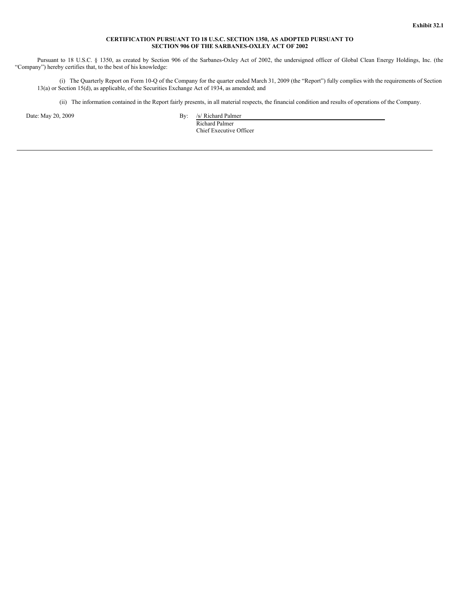# **CERTIFICATION PURSUANT TO 18 U.S.C. SECTION 1350, AS ADOPTED PURSUANT TO SECTION 906 OF THE SARBANES-OXLEY ACT OF 2002**

Pursuant to 18 U.S.C. § 1350, as created by Section 906 of the Sarbanes-Oxley Act of 2002, the undersigned officer of Global Clean Energy Holdings, Inc. (the "Company") hereby certifies that, to the best of his knowledge:

(i) The Quarterly Report on Form 10-Q of the Company for the quarter ended March 31, 2009 (the "Report") fully complies with the requirements of Section 13(a) or Section 15(d), as applicable, of the Securities Exchange Act of 1934, as amended; and

(ii) The information contained in the Report fairly presents, in all material respects, the financial condition and results of operations of the Company.

Date: May 20, 2009 By: /s/ Richard Palmer

Richard Palmer Chief Executive Officer